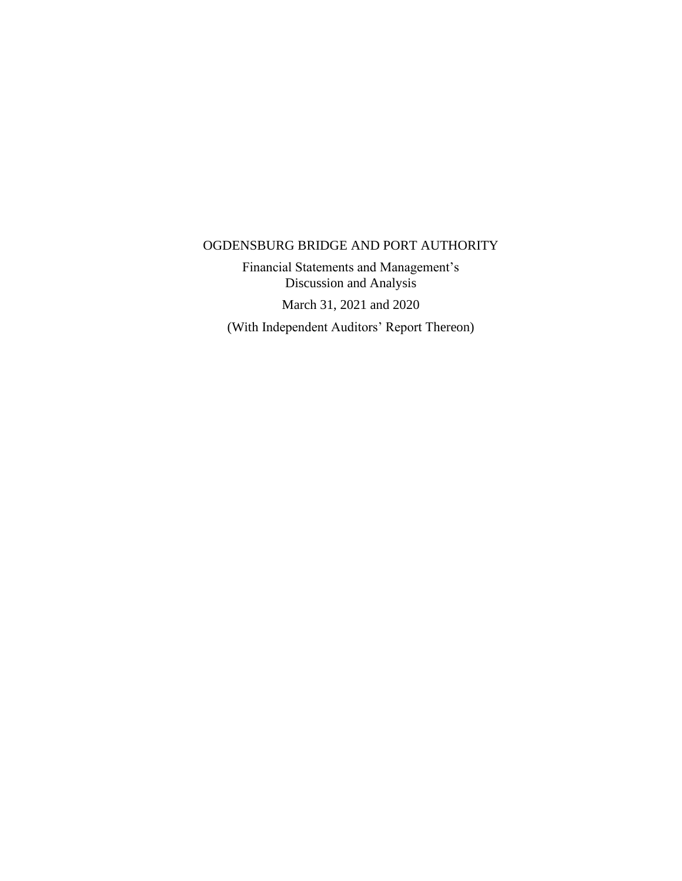Financial Statements and Management's Discussion and Analysis

March 31, 2021 and 2020

(With Independent Auditors' Report Thereon)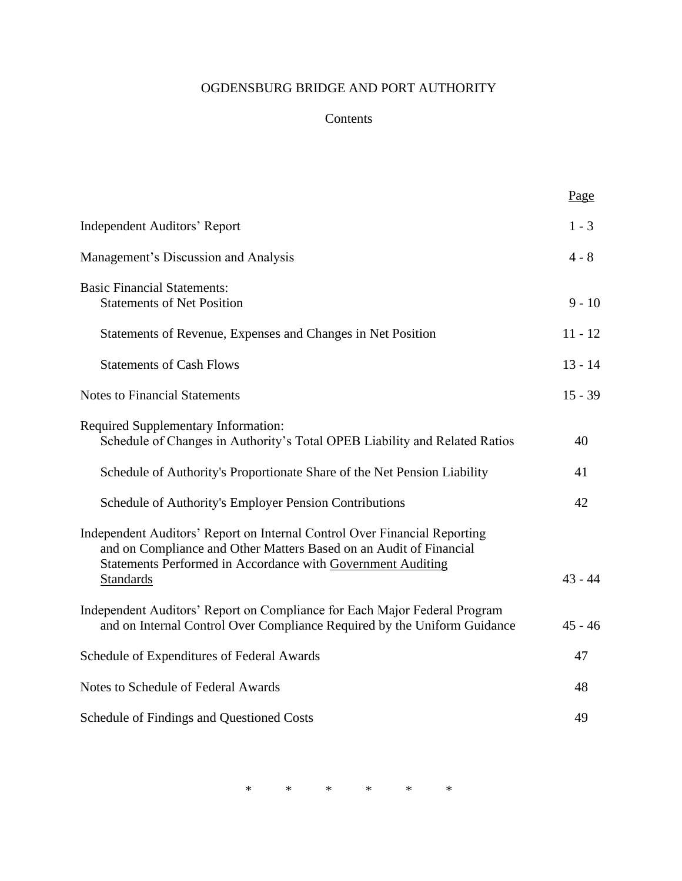# Contents

|                                                                                                                                                                                                                                    | Page      |
|------------------------------------------------------------------------------------------------------------------------------------------------------------------------------------------------------------------------------------|-----------|
| <b>Independent Auditors' Report</b>                                                                                                                                                                                                | $1 - 3$   |
| Management's Discussion and Analysis                                                                                                                                                                                               | $4 - 8$   |
| <b>Basic Financial Statements:</b><br><b>Statements of Net Position</b>                                                                                                                                                            | $9 - 10$  |
| Statements of Revenue, Expenses and Changes in Net Position                                                                                                                                                                        | $11 - 12$ |
| <b>Statements of Cash Flows</b>                                                                                                                                                                                                    | $13 - 14$ |
| <b>Notes to Financial Statements</b>                                                                                                                                                                                               | $15 - 39$ |
| Required Supplementary Information:<br>Schedule of Changes in Authority's Total OPEB Liability and Related Ratios                                                                                                                  | 40        |
| Schedule of Authority's Proportionate Share of the Net Pension Liability                                                                                                                                                           | 41        |
| Schedule of Authority's Employer Pension Contributions                                                                                                                                                                             | 42        |
| Independent Auditors' Report on Internal Control Over Financial Reporting<br>and on Compliance and Other Matters Based on an Audit of Financial<br>Statements Performed in Accordance with Government Auditing<br><b>Standards</b> | $43 - 44$ |
| Independent Auditors' Report on Compliance for Each Major Federal Program<br>and on Internal Control Over Compliance Required by the Uniform Guidance                                                                              | $45 - 46$ |
| Schedule of Expenditures of Federal Awards                                                                                                                                                                                         | 47        |
| Notes to Schedule of Federal Awards                                                                                                                                                                                                | 48        |
| Schedule of Findings and Questioned Costs                                                                                                                                                                                          | 49        |
|                                                                                                                                                                                                                                    |           |

\* \* \* \* \* \*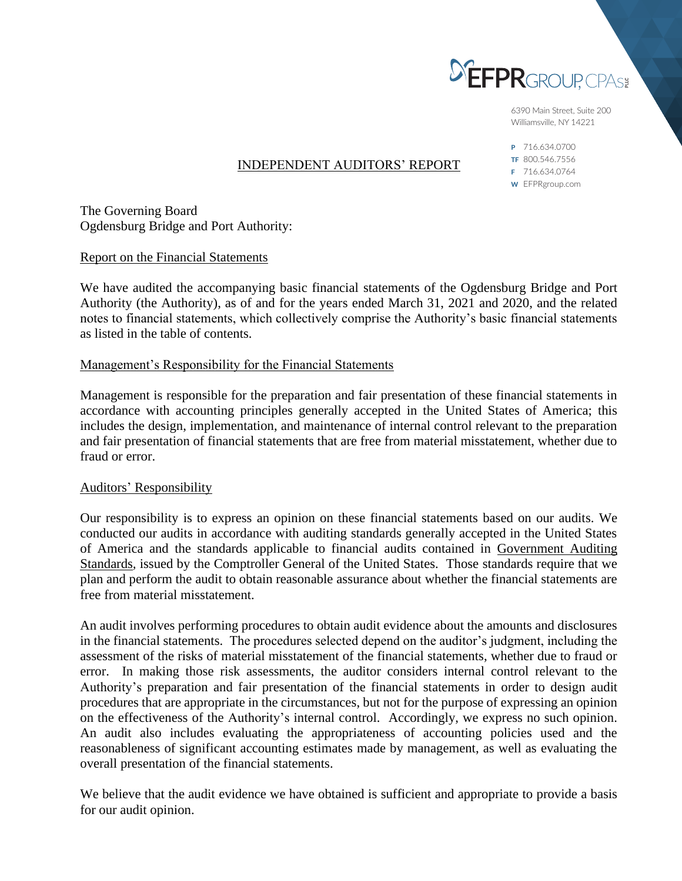

6390 Main Street, Suite 200 Williamsville, NY 14221

# INDEPENDENT AUDITORS' REPORT

P 716.634.0700 TF 800.546.7556 F 716.634.0764 W EFPRgroup.com

The Governing Board Ogdensburg Bridge and Port Authority:

Report on the Financial Statements

We have audited the accompanying basic financial statements of the Ogdensburg Bridge and Port Authority (the Authority), as of and for the years ended March 31, 2021 and 2020, and the related notes to financial statements, which collectively comprise the Authority's basic financial statements as listed in the table of contents.

# Management's Responsibility for the Financial Statements

Management is responsible for the preparation and fair presentation of these financial statements in accordance with accounting principles generally accepted in the United States of America; this includes the design, implementation, and maintenance of internal control relevant to the preparation and fair presentation of financial statements that are free from material misstatement, whether due to fraud or error.

#### Auditors' Responsibility

Our responsibility is to express an opinion on these financial statements based on our audits. We conducted our audits in accordance with auditing standards generally accepted in the United States of America and the standards applicable to financial audits contained in Government Auditing Standards*,* issued by the Comptroller General of the United States. Those standards require that we plan and perform the audit to obtain reasonable assurance about whether the financial statements are free from material misstatement.

An audit involves performing procedures to obtain audit evidence about the amounts and disclosures in the financial statements. The procedures selected depend on the auditor's judgment, including the assessment of the risks of material misstatement of the financial statements, whether due to fraud or error. In making those risk assessments, the auditor considers internal control relevant to the Authority's preparation and fair presentation of the financial statements in order to design audit procedures that are appropriate in the circumstances, but not for the purpose of expressing an opinion on the effectiveness of the Authority's internal control. Accordingly, we express no such opinion. An audit also includes evaluating the appropriateness of accounting policies used and the reasonableness of significant accounting estimates made by management, as well as evaluating the overall presentation of the financial statements.

We believe that the audit evidence we have obtained is sufficient and appropriate to provide a basis for our audit opinion.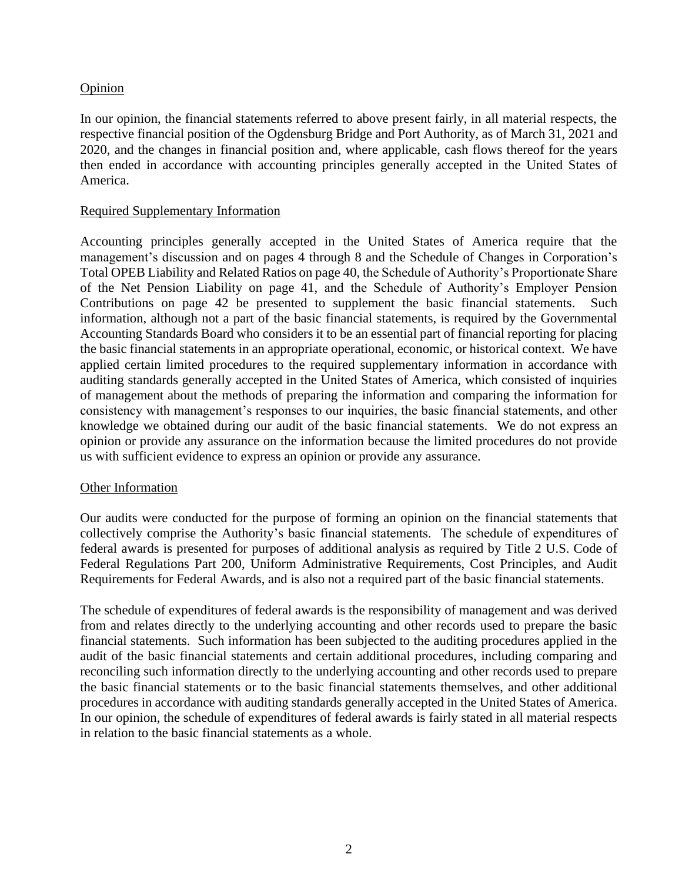# **Opinion**

In our opinion, the financial statements referred to above present fairly, in all material respects, the respective financial position of the Ogdensburg Bridge and Port Authority, as of March 31, 2021 and 2020, and the changes in financial position and, where applicable, cash flows thereof for the years then ended in accordance with accounting principles generally accepted in the United States of America.

# Required Supplementary Information

Accounting principles generally accepted in the United States of America require that the management's discussion and on pages 4 through 8 and the Schedule of Changes in Corporation's Total OPEB Liability and Related Ratios on page 40, the Schedule of Authority's Proportionate Share of the Net Pension Liability on page 41, and the Schedule of Authority's Employer Pension Contributions on page 42 be presented to supplement the basic financial statements. Such information, although not a part of the basic financial statements, is required by the Governmental Accounting Standards Board who considers it to be an essential part of financial reporting for placing the basic financial statements in an appropriate operational, economic, or historical context. We have applied certain limited procedures to the required supplementary information in accordance with auditing standards generally accepted in the United States of America, which consisted of inquiries of management about the methods of preparing the information and comparing the information for consistency with management's responses to our inquiries, the basic financial statements, and other knowledge we obtained during our audit of the basic financial statements. We do not express an opinion or provide any assurance on the information because the limited procedures do not provide us with sufficient evidence to express an opinion or provide any assurance.

# Other Information

Our audits were conducted for the purpose of forming an opinion on the financial statements that collectively comprise the Authority's basic financial statements. The schedule of expenditures of federal awards is presented for purposes of additional analysis as required by Title 2 U.S. Code of Federal Regulations Part 200, Uniform Administrative Requirements, Cost Principles, and Audit Requirements for Federal Awards, and is also not a required part of the basic financial statements.

The schedule of expenditures of federal awards is the responsibility of management and was derived from and relates directly to the underlying accounting and other records used to prepare the basic financial statements. Such information has been subjected to the auditing procedures applied in the audit of the basic financial statements and certain additional procedures, including comparing and reconciling such information directly to the underlying accounting and other records used to prepare the basic financial statements or to the basic financial statements themselves, and other additional procedures in accordance with auditing standards generally accepted in the United States of America. In our opinion, the schedule of expenditures of federal awards is fairly stated in all material respects in relation to the basic financial statements as a whole.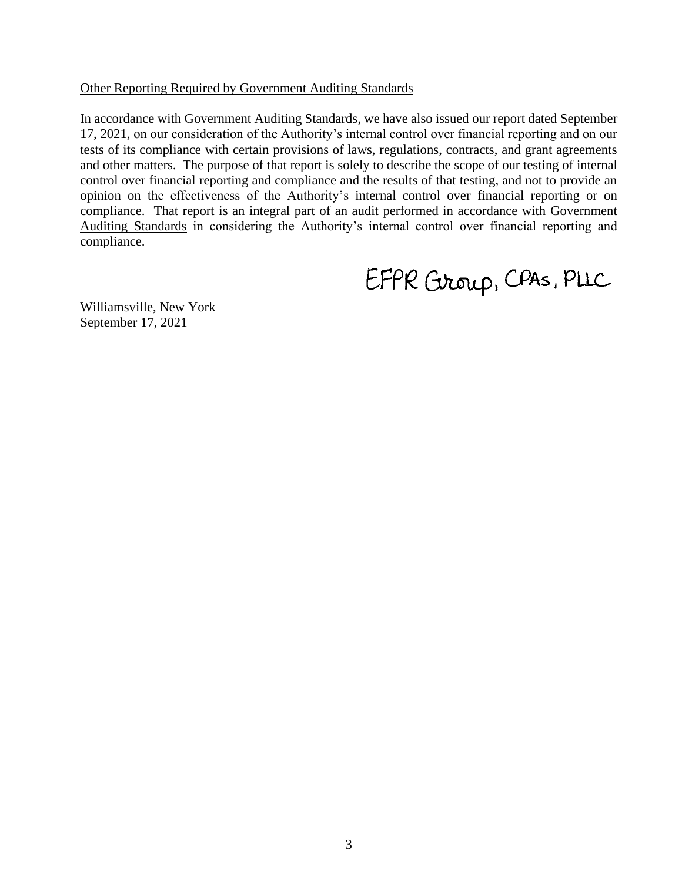# Other Reporting Required by Government Auditing Standards

In accordance with Government Auditing Standards, we have also issued our report dated September 17, 2021, on our consideration of the Authority's internal control over financial reporting and on our tests of its compliance with certain provisions of laws, regulations, contracts, and grant agreements and other matters. The purpose of that report is solely to describe the scope of our testing of internal control over financial reporting and compliance and the results of that testing, and not to provide an opinion on the effectiveness of the Authority's internal control over financial reporting or on compliance. That report is an integral part of an audit performed in accordance with Government Auditing Standards in considering the Authority's internal control over financial reporting and compliance.

# EFPR Group, CPAS, PLLC

Williamsville, New York September 17, 2021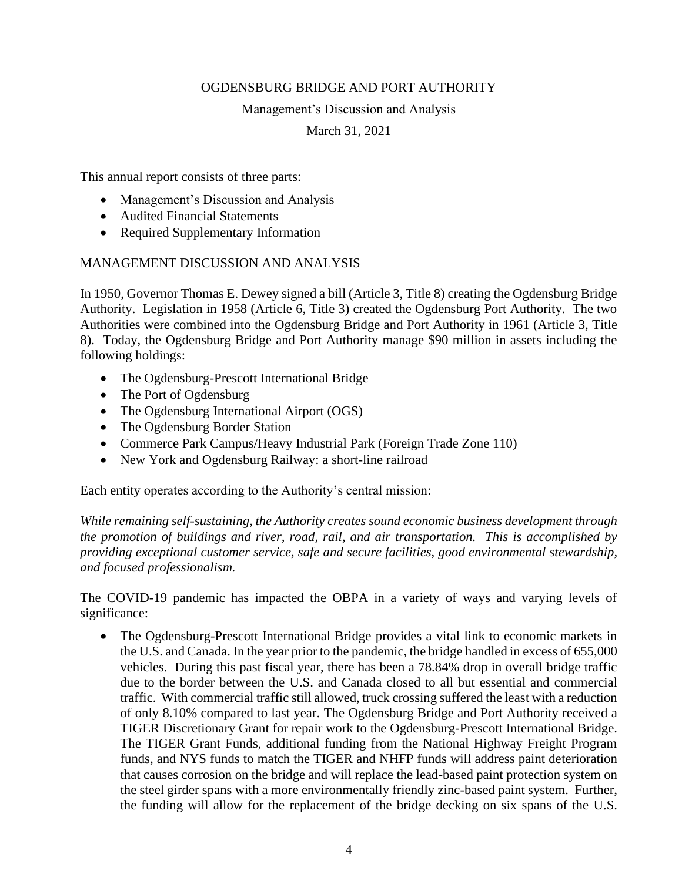# Management's Discussion and Analysis

March 31, 2021

This annual report consists of three parts:

- Management's Discussion and Analysis
- Audited Financial Statements
- Required Supplementary Information

# MANAGEMENT DISCUSSION AND ANALYSIS

In 1950, Governor Thomas E. Dewey signed a bill (Article 3, Title 8) creating the Ogdensburg Bridge Authority. Legislation in 1958 (Article 6, Title 3) created the Ogdensburg Port Authority. The two Authorities were combined into the Ogdensburg Bridge and Port Authority in 1961 (Article 3, Title 8). Today, the Ogdensburg Bridge and Port Authority manage \$90 million in assets including the following holdings:

- The Ogdensburg-Prescott International Bridge
- The Port of Ogdensburg
- The Ogdensburg International Airport (OGS)
- The Ogdensburg Border Station
- Commerce Park Campus/Heavy Industrial Park (Foreign Trade Zone 110)
- New York and Ogdensburg Railway: a short-line railroad

Each entity operates according to the Authority's central mission:

*While remaining self-sustaining, the Authority creates sound economic business development through the promotion of buildings and river, road, rail, and air transportation. This is accomplished by providing exceptional customer service, safe and secure facilities, good environmental stewardship, and focused professionalism.*

The COVID-19 pandemic has impacted the OBPA in a variety of ways and varying levels of significance:

• The Ogdensburg-Prescott International Bridge provides a vital link to economic markets in the U.S. and Canada. In the year prior to the pandemic, the bridge handled in excess of 655,000 vehicles. During this past fiscal year, there has been a 78.84% drop in overall bridge traffic due to the border between the U.S. and Canada closed to all but essential and commercial traffic. With commercial traffic still allowed, truck crossing suffered the least with a reduction of only 8.10% compared to last year. The Ogdensburg Bridge and Port Authority received a TIGER Discretionary Grant for repair work to the Ogdensburg-Prescott International Bridge. The TIGER Grant Funds, additional funding from the National Highway Freight Program funds, and NYS funds to match the TIGER and NHFP funds will address paint deterioration that causes corrosion on the bridge and will replace the lead-based paint protection system on the steel girder spans with a more environmentally friendly zinc-based paint system. Further, the funding will allow for the replacement of the bridge decking on six spans of the U.S.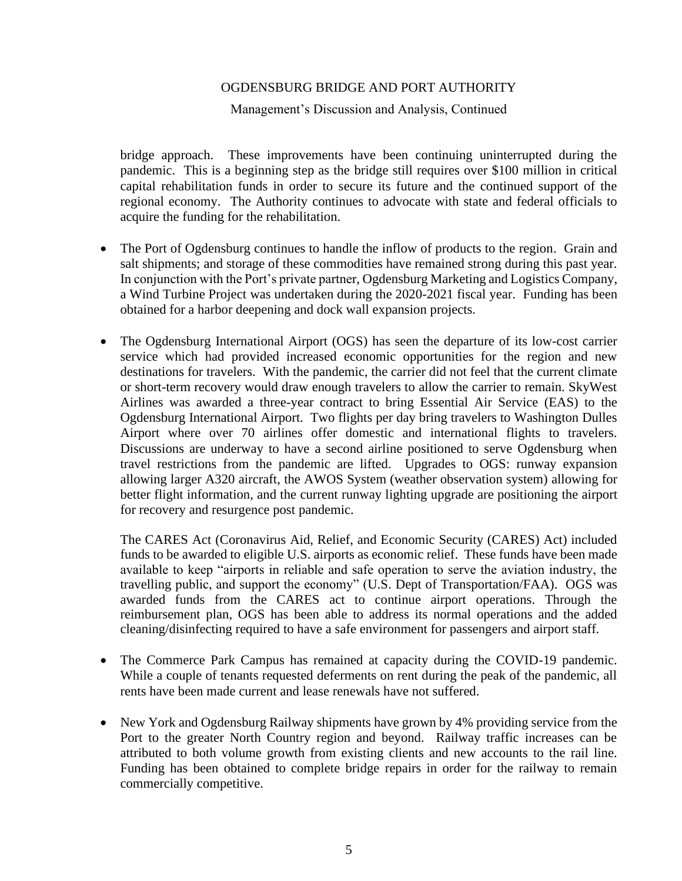# Management's Discussion and Analysis, Continued

bridge approach. These improvements have been continuing uninterrupted during the pandemic. This is a beginning step as the bridge still requires over \$100 million in critical capital rehabilitation funds in order to secure its future and the continued support of the regional economy. The Authority continues to advocate with state and federal officials to acquire the funding for the rehabilitation.

- The Port of Ogdensburg continues to handle the inflow of products to the region. Grain and salt shipments; and storage of these commodities have remained strong during this past year. In conjunction with the Port's private partner, Ogdensburg Marketing and Logistics Company, a Wind Turbine Project was undertaken during the 2020-2021 fiscal year. Funding has been obtained for a harbor deepening and dock wall expansion projects.
- The Ogdensburg International Airport (OGS) has seen the departure of its low-cost carrier service which had provided increased economic opportunities for the region and new destinations for travelers. With the pandemic, the carrier did not feel that the current climate or short-term recovery would draw enough travelers to allow the carrier to remain. SkyWest Airlines was awarded a three-year contract to bring Essential Air Service (EAS) to the Ogdensburg International Airport. Two flights per day bring travelers to Washington Dulles Airport where over 70 airlines offer domestic and international flights to travelers. Discussions are underway to have a second airline positioned to serve Ogdensburg when travel restrictions from the pandemic are lifted. Upgrades to OGS: runway expansion allowing larger A320 aircraft, the AWOS System (weather observation system) allowing for better flight information, and the current runway lighting upgrade are positioning the airport for recovery and resurgence post pandemic.

The CARES Act (Coronavirus Aid, Relief, and Economic Security (CARES) Act) included funds to be awarded to eligible U.S. airports as economic relief. These funds have been made available to keep "airports in reliable and safe operation to serve the aviation industry, the travelling public, and support the economy" (U.S. Dept of Transportation/FAA). OGS was awarded funds from the CARES act to continue airport operations. Through the reimbursement plan, OGS has been able to address its normal operations and the added cleaning/disinfecting required to have a safe environment for passengers and airport staff.

- The Commerce Park Campus has remained at capacity during the COVID-19 pandemic. While a couple of tenants requested deferments on rent during the peak of the pandemic, all rents have been made current and lease renewals have not suffered.
- New York and Ogdensburg Railway shipments have grown by 4% providing service from the Port to the greater North Country region and beyond. Railway traffic increases can be attributed to both volume growth from existing clients and new accounts to the rail line. Funding has been obtained to complete bridge repairs in order for the railway to remain commercially competitive.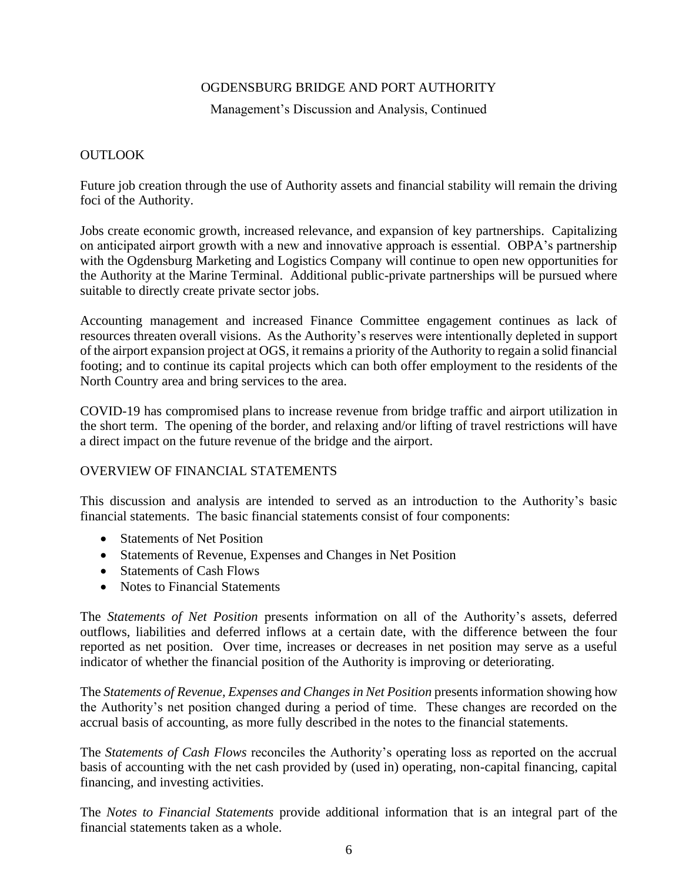# Management's Discussion and Analysis, Continued

# OUTLOOK

Future job creation through the use of Authority assets and financial stability will remain the driving foci of the Authority.

Jobs create economic growth, increased relevance, and expansion of key partnerships. Capitalizing on anticipated airport growth with a new and innovative approach is essential. OBPA's partnership with the Ogdensburg Marketing and Logistics Company will continue to open new opportunities for the Authority at the Marine Terminal. Additional public-private partnerships will be pursued where suitable to directly create private sector jobs.

Accounting management and increased Finance Committee engagement continues as lack of resources threaten overall visions. As the Authority's reserves were intentionally depleted in support of the airport expansion project at OGS, it remains a priority of the Authority to regain a solid financial footing; and to continue its capital projects which can both offer employment to the residents of the North Country area and bring services to the area.

COVID-19 has compromised plans to increase revenue from bridge traffic and airport utilization in the short term. The opening of the border, and relaxing and/or lifting of travel restrictions will have a direct impact on the future revenue of the bridge and the airport.

# OVERVIEW OF FINANCIAL STATEMENTS

This discussion and analysis are intended to served as an introduction to the Authority's basic financial statements. The basic financial statements consist of four components:

- Statements of Net Position
- Statements of Revenue, Expenses and Changes in Net Position
- Statements of Cash Flows
- Notes to Financial Statements

The *Statements of Net Position* presents information on all of the Authority's assets, deferred outflows, liabilities and deferred inflows at a certain date, with the difference between the four reported as net position. Over time, increases or decreases in net position may serve as a useful indicator of whether the financial position of the Authority is improving or deteriorating.

The *Statements of Revenue, Expenses and Changes in Net Position* presents information showing how the Authority's net position changed during a period of time. These changes are recorded on the accrual basis of accounting, as more fully described in the notes to the financial statements.

The *Statements of Cash Flows* reconciles the Authority's operating loss as reported on the accrual basis of accounting with the net cash provided by (used in) operating, non-capital financing, capital financing, and investing activities.

The *Notes to Financial Statements* provide additional information that is an integral part of the financial statements taken as a whole.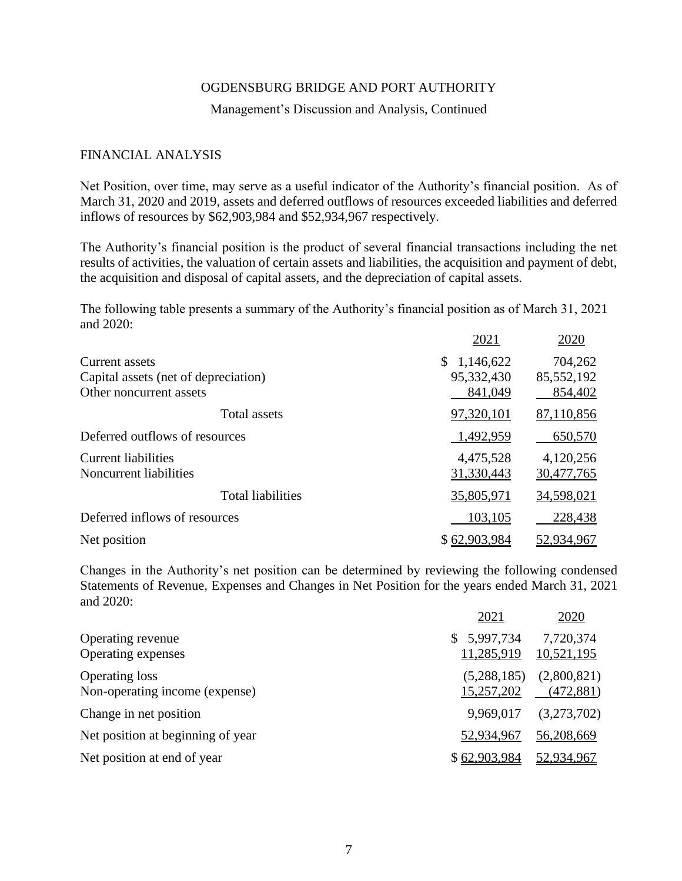# Management's Discussion and Analysis, Continued

# FINANCIAL ANALYSIS

Net Position, over time, may serve as a useful indicator of the Authority's financial position. As of March 31, 2020 and 2019, assets and deferred outflows of resources exceeded liabilities and deferred inflows of resources by \$62,903,984 and \$52,934,967 respectively.

The Authority's financial position is the product of several financial transactions including the net results of activities, the valuation of certain assets and liabilities, the acquisition and payment of debt, the acquisition and disposal of capital assets, and the depreciation of capital assets.

The following table presents a summary of the Authority's financial position as of March 31, 2021 and 2020:

|                                      | 2021            | 2020       |
|--------------------------------------|-----------------|------------|
| Current assets                       | 1,146,622<br>\$ | 704,262    |
| Capital assets (net of depreciation) | 95,332,430      | 85,552,192 |
| Other noncurrent assets              | 841,049         | 854,402    |
| Total assets                         | 97,320,101      | 87,110,856 |
| Deferred outflows of resources       | 1,492,959       | 650,570    |
| <b>Current liabilities</b>           | 4,475,528       | 4,120,256  |
| Noncurrent liabilities               | 31,330,443      | 30,477,765 |
| <b>Total liabilities</b>             | 35,805,971      | 34,598,021 |
| Deferred inflows of resources        | 103,105         | 228,438    |
| Net position                         | \$62,903,984    | 52,934,967 |

Changes in the Authority's net position can be determined by reviewing the following condensed Statements of Revenue, Expenses and Changes in Net Position for the years ended March 31, 2021 and 2020:

|                                                         | 2021                          | 2020                     |
|---------------------------------------------------------|-------------------------------|--------------------------|
| Operating revenue<br>Operating expenses                 | 5,997,734<br>S.<br>11,285,919 | 7,720,374<br>10,521,195  |
| <b>Operating loss</b><br>Non-operating income (expense) | (5,288,185)<br>15,257,202     | (2,800,821)<br>(472,881) |
| Change in net position                                  | 9,969,017                     | (3,273,702)              |
| Net position at beginning of year.                      | 52,934,967                    | 56,208,669               |
| Net position at end of year                             | \$62,903,984                  | 52,934,967               |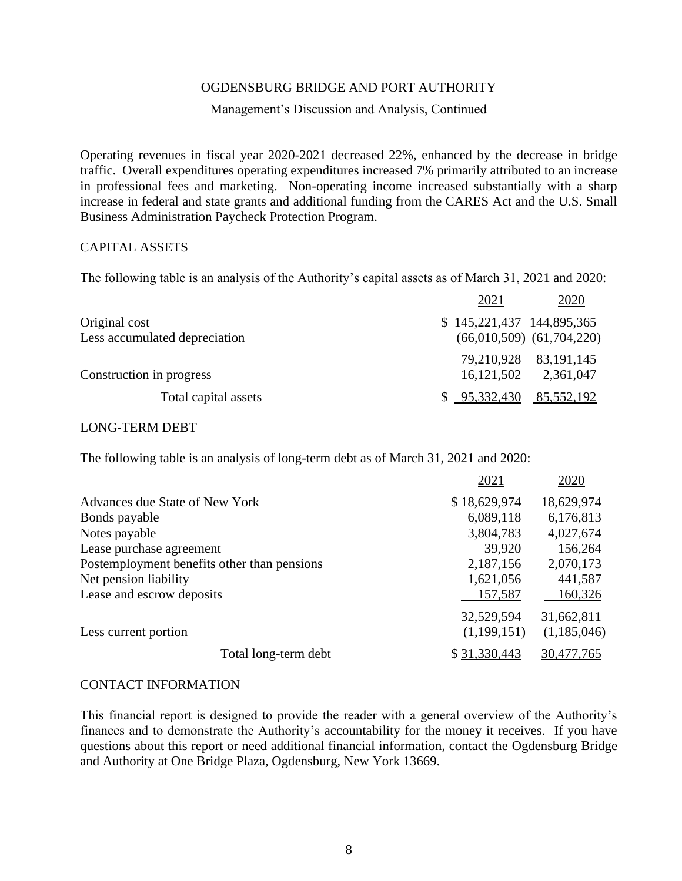### Management's Discussion and Analysis, Continued

Operating revenues in fiscal year 2020-2021 decreased 22%, enhanced by the decrease in bridge traffic. Overall expenditures operating expenditures increased 7% primarily attributed to an increase in professional fees and marketing. Non-operating income increased substantially with a sharp increase in federal and state grants and additional funding from the CARES Act and the U.S. Small Business Administration Paycheck Protection Program.

# CAPITAL ASSETS

The following table is an analysis of the Authority's capital assets as of March 31, 2021 and 2020:

|                               | 2021                          | 2020                  |
|-------------------------------|-------------------------------|-----------------------|
| Original cost                 | \$145,221,437 144,895,365     |                       |
| Less accumulated depreciation | $(66,010,509)$ $(61,704,220)$ |                       |
|                               |                               | 79,210,928 83,191,145 |
| Construction in progress      | 16,121,502 2,361,047          |                       |
| Total capital assets          | $$95,332,430$ $85,552,192$    |                       |

# LONG-TERM DEBT

The following table is an analysis of long-term debt as of March 31, 2021 and 2020:

|                                             | 2021         | 2020        |
|---------------------------------------------|--------------|-------------|
| Advances due State of New York              | \$18,629,974 | 18,629,974  |
| Bonds payable                               | 6,089,118    | 6,176,813   |
| Notes payable                               | 3,804,783    | 4,027,674   |
| Lease purchase agreement                    | 39,920       | 156,264     |
| Postemployment benefits other than pensions | 2,187,156    | 2,070,173   |
| Net pension liability                       | 1,621,056    | 441,587     |
| Lease and escrow deposits                   | 157,587      | 160,326     |
|                                             | 32,529,594   | 31,662,811  |
| Less current portion                        | (1,199,151)  | (1,185,046) |
| Total long-term debt                        | \$31,330,443 | 30,477,765  |

#### CONTACT INFORMATION

This financial report is designed to provide the reader with a general overview of the Authority's finances and to demonstrate the Authority's accountability for the money it receives. If you have questions about this report or need additional financial information, contact the Ogdensburg Bridge and Authority at One Bridge Plaza, Ogdensburg, New York 13669.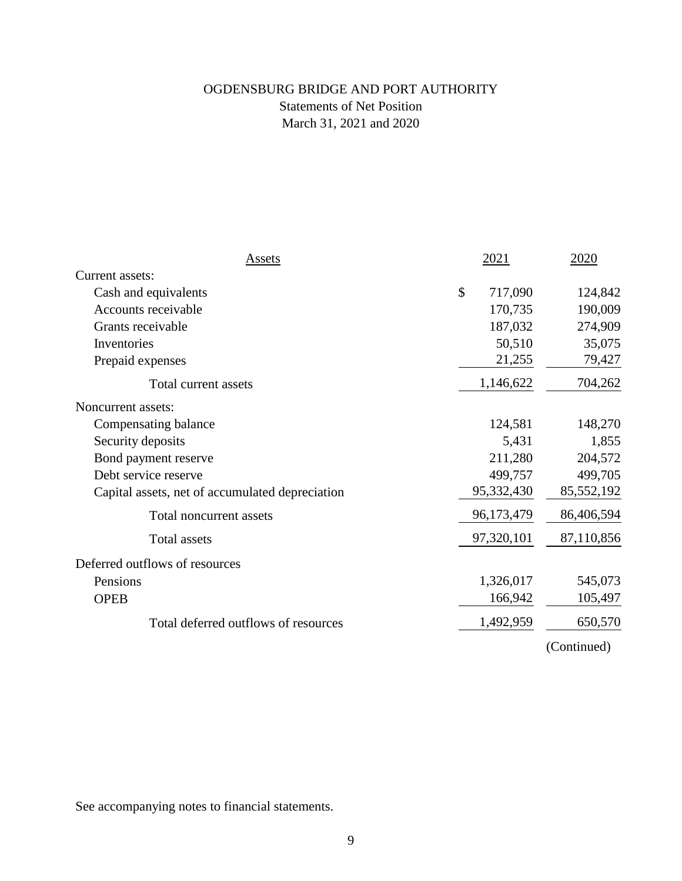# OGDENSBURG BRIDGE AND PORT AUTHORITY Statements of Net Position March 31, 2021 and 2020

| Assets                                          | 2021          | 2020        |
|-------------------------------------------------|---------------|-------------|
| Current assets:                                 |               |             |
| Cash and equivalents                            | \$<br>717,090 | 124,842     |
| Accounts receivable                             | 170,735       | 190,009     |
| Grants receivable                               | 187,032       | 274,909     |
| Inventories                                     | 50,510        | 35,075      |
| Prepaid expenses                                | 21,255        | 79,427      |
| Total current assets                            | 1,146,622     | 704,262     |
| Noncurrent assets:                              |               |             |
| Compensating balance                            | 124,581       | 148,270     |
| Security deposits                               | 5,431         | 1,855       |
| Bond payment reserve                            | 211,280       | 204,572     |
| Debt service reserve                            | 499,757       | 499,705     |
| Capital assets, net of accumulated depreciation | 95,332,430    | 85,552,192  |
| Total noncurrent assets                         | 96,173,479    | 86,406,594  |
| <b>Total assets</b>                             | 97,320,101    | 87,110,856  |
| Deferred outflows of resources                  |               |             |
| Pensions                                        | 1,326,017     | 545,073     |
| <b>OPEB</b>                                     | 166,942       | 105,497     |
| Total deferred outflows of resources            | 1,492,959     | 650,570     |
|                                                 |               | (Continued) |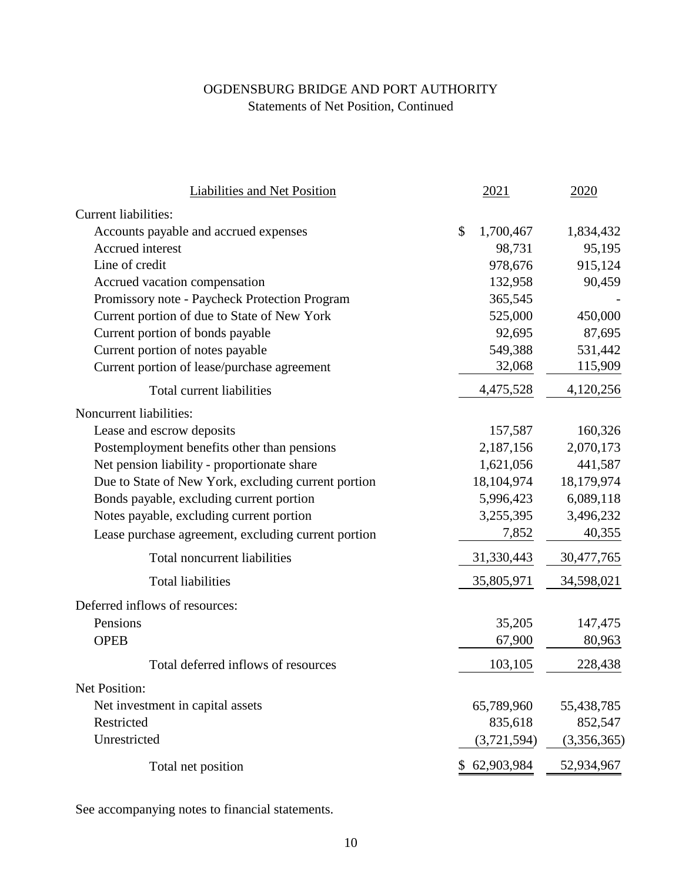# OGDENSBURG BRIDGE AND PORT AUTHORITY Statements of Net Position, Continued

| Liabilities and Net Position                        | 2021             | 2020        |
|-----------------------------------------------------|------------------|-------------|
| <b>Current liabilities:</b>                         |                  |             |
| Accounts payable and accrued expenses               | \$<br>1,700,467  | 1,834,432   |
| Accrued interest                                    | 98,731           | 95,195      |
| Line of credit                                      | 978,676          | 915,124     |
| Accrued vacation compensation                       | 132,958          | 90,459      |
| Promissory note - Paycheck Protection Program       | 365,545          |             |
| Current portion of due to State of New York         | 525,000          | 450,000     |
| Current portion of bonds payable                    | 92,695           | 87,695      |
| Current portion of notes payable                    | 549,388          | 531,442     |
| Current portion of lease/purchase agreement         | 32,068           | 115,909     |
| Total current liabilities                           | 4,475,528        | 4,120,256   |
| Noncurrent liabilities:                             |                  |             |
| Lease and escrow deposits                           | 157,587          | 160,326     |
| Postemployment benefits other than pensions         | 2,187,156        | 2,070,173   |
| Net pension liability - proportionate share         | 1,621,056        | 441,587     |
| Due to State of New York, excluding current portion | 18,104,974       | 18,179,974  |
| Bonds payable, excluding current portion            | 5,996,423        | 6,089,118   |
| Notes payable, excluding current portion            | 3,255,395        | 3,496,232   |
| Lease purchase agreement, excluding current portion | 7,852            | 40,355      |
| <b>Total noncurrent liabilities</b>                 | 31,330,443       | 30,477,765  |
| <b>Total liabilities</b>                            | 35,805,971       | 34,598,021  |
| Deferred inflows of resources:                      |                  |             |
| Pensions                                            | 35,205           | 147,475     |
| <b>OPEB</b>                                         | 67,900           | 80,963      |
| Total deferred inflows of resources                 | 103,105          | 228,438     |
| Net Position:                                       |                  |             |
| Net investment in capital assets                    | 65,789,960       | 55,438,785  |
| Restricted                                          | 835,618          | 852,547     |
| Unrestricted                                        | (3,721,594)      | (3,356,365) |
| Total net position                                  | \$<br>62,903,984 | 52,934,967  |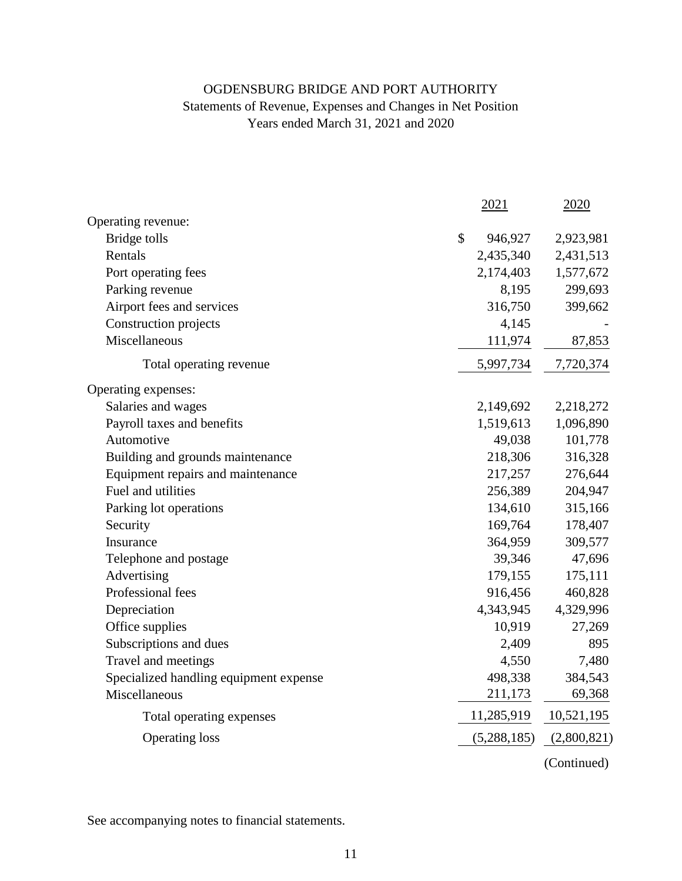# OGDENSBURG BRIDGE AND PORT AUTHORITY Statements of Revenue, Expenses and Changes in Net Position Years ended March 31, 2021 and 2020

|                                        |               | 2021        | 2020        |
|----------------------------------------|---------------|-------------|-------------|
| Operating revenue:                     |               |             |             |
| Bridge tolls                           | $\mathcal{S}$ | 946,927     | 2,923,981   |
| Rentals                                |               | 2,435,340   | 2,431,513   |
| Port operating fees                    |               | 2,174,403   | 1,577,672   |
| Parking revenue                        |               | 8,195       | 299,693     |
| Airport fees and services              |               | 316,750     | 399,662     |
| Construction projects                  |               | 4,145       |             |
| Miscellaneous                          |               | 111,974     | 87,853      |
| Total operating revenue                |               | 5,997,734   | 7,720,374   |
| Operating expenses:                    |               |             |             |
| Salaries and wages                     |               | 2,149,692   | 2,218,272   |
| Payroll taxes and benefits             |               | 1,519,613   | 1,096,890   |
| Automotive                             |               | 49,038      | 101,778     |
| Building and grounds maintenance       |               | 218,306     | 316,328     |
| Equipment repairs and maintenance      |               | 217,257     | 276,644     |
| Fuel and utilities                     |               | 256,389     | 204,947     |
| Parking lot operations                 |               | 134,610     | 315,166     |
| Security                               |               | 169,764     | 178,407     |
| Insurance                              |               | 364,959     | 309,577     |
| Telephone and postage                  |               | 39,346      | 47,696      |
| Advertising                            |               | 179,155     | 175,111     |
| Professional fees                      |               | 916,456     | 460,828     |
| Depreciation                           |               | 4,343,945   | 4,329,996   |
| Office supplies                        |               | 10,919      | 27,269      |
| Subscriptions and dues                 |               | 2,409       | 895         |
| Travel and meetings                    |               | 4,550       | 7,480       |
| Specialized handling equipment expense |               | 498,338     | 384,543     |
| Miscellaneous                          |               | 211,173     | 69,368      |
| Total operating expenses               |               | 11,285,919  | 10,521,195  |
| <b>Operating loss</b>                  |               | (5,288,185) | (2,800,821) |
|                                        |               |             |             |

(Continued)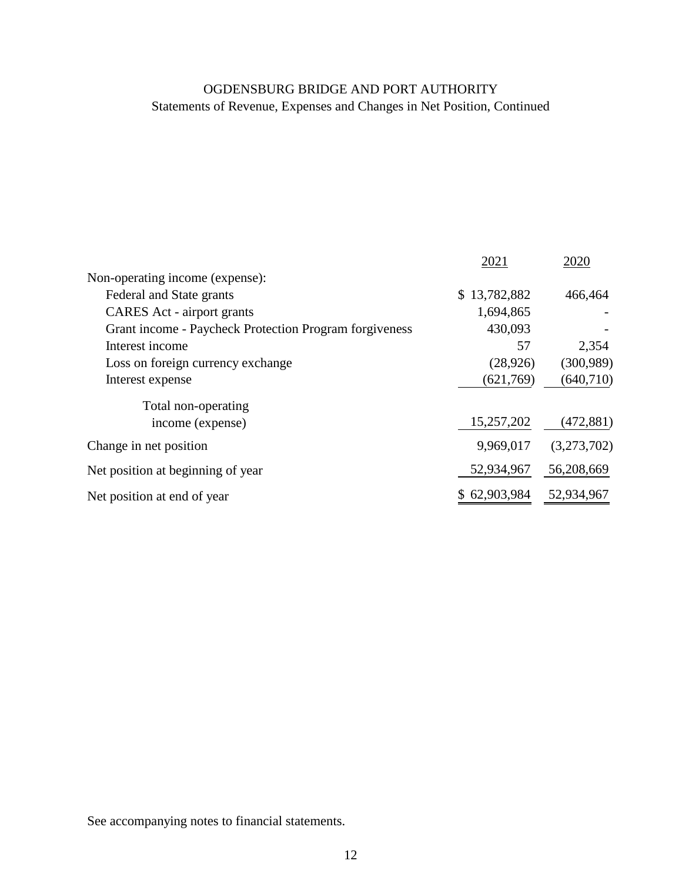# Statements of Revenue, Expenses and Changes in Net Position, Continued OGDENSBURG BRIDGE AND PORT AUTHORITY

|                                                        | 2021         | 2020        |
|--------------------------------------------------------|--------------|-------------|
| Non-operating income (expense):                        |              |             |
| Federal and State grants                               | \$13,782,882 | 466,464     |
| <b>CARES</b> Act - airport grants                      | 1,694,865    |             |
| Grant income - Paycheck Protection Program forgiveness | 430,093      |             |
| Interest income                                        | 57           | 2,354       |
| Loss on foreign currency exchange                      | (28, 926)    | (300, 989)  |
| Interest expense                                       | (621,769)    | (640, 710)  |
| Total non-operating                                    |              |             |
| income (expense)                                       | 15,257,202   | (472, 881)  |
| Change in net position                                 | 9,969,017    | (3,273,702) |
| Net position at beginning of year                      | 52,934,967   | 56,208,669  |
| Net position at end of year                            | \$62,903,984 | 52,934,967  |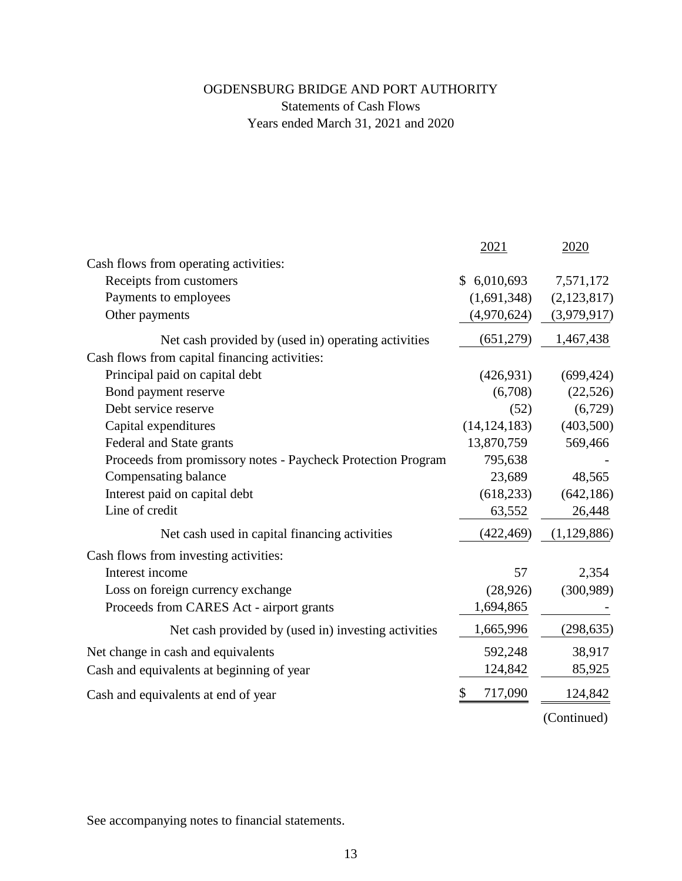# OGDENSBURG BRIDGE AND PORT AUTHORITY Statements of Cash Flows Years ended March 31, 2021 and 2020

|                                                              | 2021           | 2020        |
|--------------------------------------------------------------|----------------|-------------|
| Cash flows from operating activities:                        |                |             |
| Receipts from customers                                      | \$6,010,693    | 7,571,172   |
| Payments to employees                                        | (1,691,348)    | (2,123,817) |
| Other payments                                               | (4,970,624)    | (3,979,917) |
| Net cash provided by (used in) operating activities          | (651,279)      | 1,467,438   |
| Cash flows from capital financing activities:                |                |             |
| Principal paid on capital debt                               | (426, 931)     | (699, 424)  |
| Bond payment reserve                                         | (6,708)        | (22, 526)   |
| Debt service reserve                                         | (52)           | (6,729)     |
| Capital expenditures                                         | (14, 124, 183) | (403,500)   |
| Federal and State grants                                     | 13,870,759     | 569,466     |
| Proceeds from promissory notes - Paycheck Protection Program | 795,638        |             |
| Compensating balance                                         | 23,689         | 48,565      |
| Interest paid on capital debt                                | (618, 233)     | (642, 186)  |
| Line of credit                                               | 63,552         | 26,448      |
| Net cash used in capital financing activities                | (422, 469)     | (1,129,886) |
| Cash flows from investing activities:                        |                |             |
| Interest income                                              | 57             | 2,354       |
| Loss on foreign currency exchange                            | (28, 926)      | (300, 989)  |
| Proceeds from CARES Act - airport grants                     | 1,694,865      |             |
| Net cash provided by (used in) investing activities          | 1,665,996      | (298, 635)  |
| Net change in cash and equivalents                           | 592,248        | 38,917      |
| Cash and equivalents at beginning of year                    | 124,842        | 85,925      |
| Cash and equivalents at end of year                          | \$<br>717,090  | 124,842     |
|                                                              |                | (Continued) |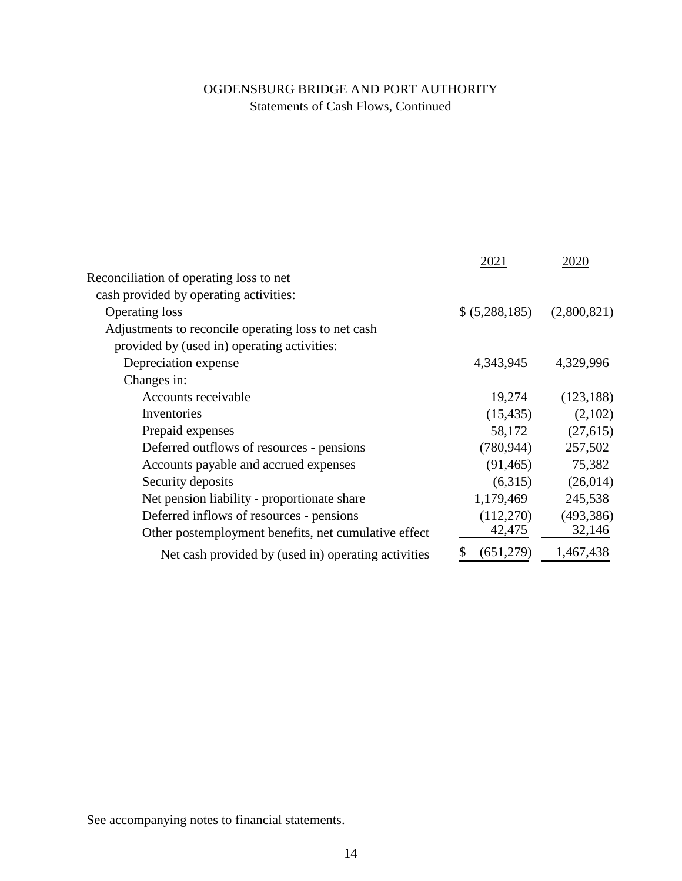# Statements of Cash Flows, Continued OGDENSBURG BRIDGE AND PORT AUTHORITY

|                                                      | 2021           | 2020        |
|------------------------------------------------------|----------------|-------------|
| Reconciliation of operating loss to net              |                |             |
| cash provided by operating activities:               |                |             |
| <b>Operating loss</b>                                | \$ (5,288,185) | (2,800,821) |
| Adjustments to reconcile operating loss to net cash  |                |             |
| provided by (used in) operating activities:          |                |             |
| Depreciation expense                                 | 4,343,945      | 4,329,996   |
| Changes in:                                          |                |             |
| Accounts receivable                                  | 19,274         | (123, 188)  |
| Inventories                                          | (15, 435)      | (2,102)     |
| Prepaid expenses                                     | 58,172         | (27, 615)   |
| Deferred outflows of resources - pensions            | (780, 944)     | 257,502     |
| Accounts payable and accrued expenses                | (91, 465)      | 75,382      |
| Security deposits                                    | (6,315)        | (26, 014)   |
| Net pension liability - proportionate share          | 1,179,469      | 245,538     |
| Deferred inflows of resources - pensions             | (112,270)      | (493, 386)  |
| Other postemployment benefits, net cumulative effect | 42,475         | 32,146      |
| Net cash provided by (used in) operating activities  | (651,279)      | 1,467,438   |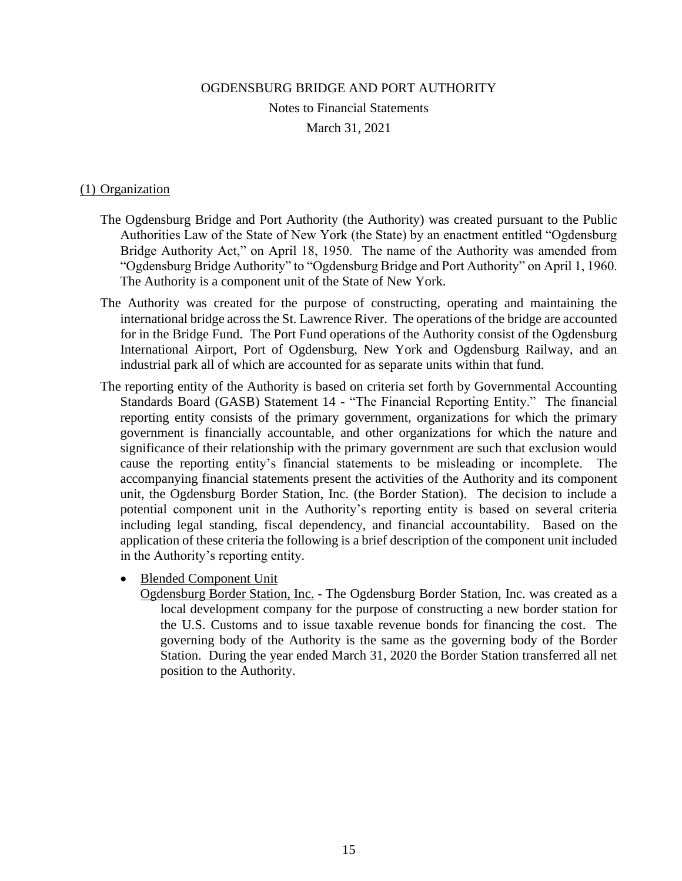OGDENSBURG BRIDGE AND PORT AUTHORITY Notes to Financial Statements March 31, 2021

# (1) Organization

- The Ogdensburg Bridge and Port Authority (the Authority) was created pursuant to the Public Authorities Law of the State of New York (the State) by an enactment entitled "Ogdensburg Bridge Authority Act," on April 18, 1950. The name of the Authority was amended from "Ogdensburg Bridge Authority" to "Ogdensburg Bridge and Port Authority" on April 1, 1960. The Authority is a component unit of the State of New York.
- The Authority was created for the purpose of constructing, operating and maintaining the international bridge across the St. Lawrence River. The operations of the bridge are accounted for in the Bridge Fund. The Port Fund operations of the Authority consist of the Ogdensburg International Airport, Port of Ogdensburg, New York and Ogdensburg Railway, and an industrial park all of which are accounted for as separate units within that fund.
- The reporting entity of the Authority is based on criteria set forth by Governmental Accounting Standards Board (GASB) Statement 14 - "The Financial Reporting Entity." The financial reporting entity consists of the primary government, organizations for which the primary government is financially accountable, and other organizations for which the nature and significance of their relationship with the primary government are such that exclusion would cause the reporting entity's financial statements to be misleading or incomplete. The accompanying financial statements present the activities of the Authority and its component unit, the Ogdensburg Border Station, Inc. (the Border Station). The decision to include a potential component unit in the Authority's reporting entity is based on several criteria including legal standing, fiscal dependency, and financial accountability. Based on the application of these criteria the following is a brief description of the component unit included in the Authority's reporting entity.
	- Blended Component Unit

Ogdensburg Border Station, Inc. - The Ogdensburg Border Station, Inc. was created as a local development company for the purpose of constructing a new border station for the U.S. Customs and to issue taxable revenue bonds for financing the cost. The governing body of the Authority is the same as the governing body of the Border Station. During the year ended March 31, 2020 the Border Station transferred all net position to the Authority.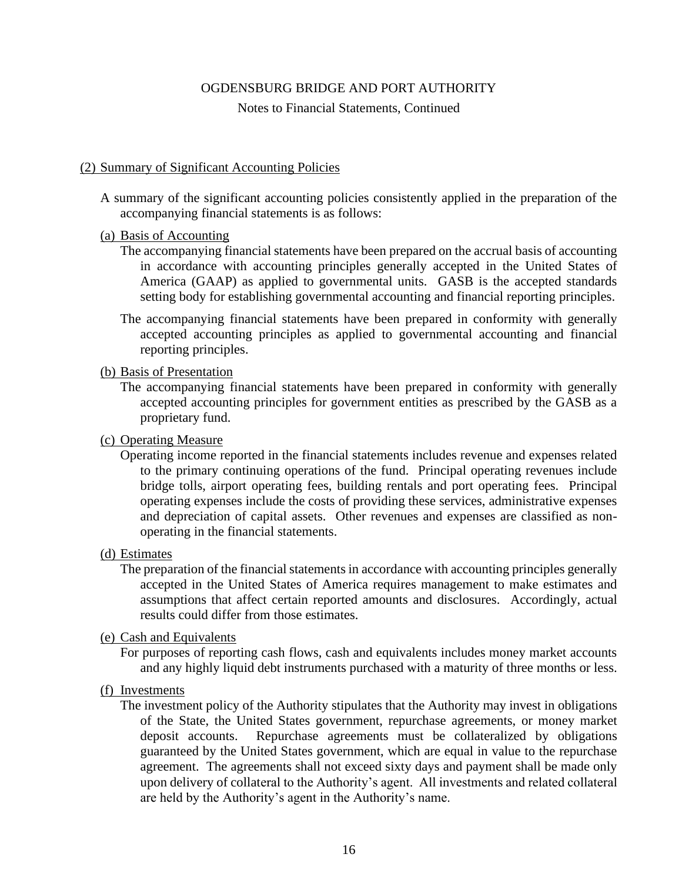Notes to Financial Statements, Continued

#### (2) Summary of Significant Accounting Policies

A summary of the significant accounting policies consistently applied in the preparation of the accompanying financial statements is as follows:

#### (a) Basis of Accounting

- The accompanying financial statements have been prepared on the accrual basis of accounting in accordance with accounting principles generally accepted in the United States of America (GAAP) as applied to governmental units. GASB is the accepted standards setting body for establishing governmental accounting and financial reporting principles.
- The accompanying financial statements have been prepared in conformity with generally accepted accounting principles as applied to governmental accounting and financial reporting principles.

### (b) Basis of Presentation

The accompanying financial statements have been prepared in conformity with generally accepted accounting principles for government entities as prescribed by the GASB as a proprietary fund.

# (c) Operating Measure

Operating income reported in the financial statements includes revenue and expenses related to the primary continuing operations of the fund. Principal operating revenues include bridge tolls, airport operating fees, building rentals and port operating fees. Principal operating expenses include the costs of providing these services, administrative expenses and depreciation of capital assets. Other revenues and expenses are classified as nonoperating in the financial statements.

#### (d) Estimates

The preparation of the financial statements in accordance with accounting principles generally accepted in the United States of America requires management to make estimates and assumptions that affect certain reported amounts and disclosures. Accordingly, actual results could differ from those estimates.

#### (e) Cash and Equivalents

For purposes of reporting cash flows, cash and equivalents includes money market accounts and any highly liquid debt instruments purchased with a maturity of three months or less.

# (f) Investments

The investment policy of the Authority stipulates that the Authority may invest in obligations of the State, the United States government, repurchase agreements, or money market deposit accounts. Repurchase agreements must be collateralized by obligations guaranteed by the United States government, which are equal in value to the repurchase agreement. The agreements shall not exceed sixty days and payment shall be made only upon delivery of collateral to the Authority's agent. All investments and related collateral are held by the Authority's agent in the Authority's name.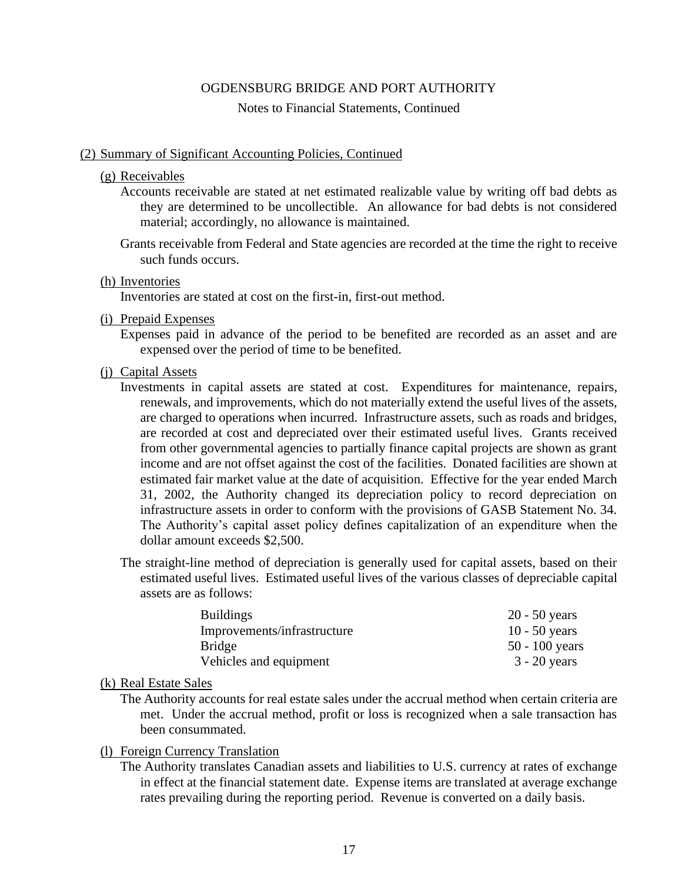#### Notes to Financial Statements, Continued

#### (2) Summary of Significant Accounting Policies, Continued

#### (g) Receivables

- Accounts receivable are stated at net estimated realizable value by writing off bad debts as they are determined to be uncollectible. An allowance for bad debts is not considered material; accordingly, no allowance is maintained.
- Grants receivable from Federal and State agencies are recorded at the time the right to receive such funds occurs.

#### (h) Inventories

Inventories are stated at cost on the first-in, first-out method.

(i) Prepaid Expenses

Expenses paid in advance of the period to be benefited are recorded as an asset and are expensed over the period of time to be benefited.

- (j) Capital Assets
	- Investments in capital assets are stated at cost. Expenditures for maintenance, repairs, renewals, and improvements, which do not materially extend the useful lives of the assets, are charged to operations when incurred. Infrastructure assets, such as roads and bridges, are recorded at cost and depreciated over their estimated useful lives. Grants received from other governmental agencies to partially finance capital projects are shown as grant income and are not offset against the cost of the facilities. Donated facilities are shown at estimated fair market value at the date of acquisition. Effective for the year ended March 31, 2002, the Authority changed its depreciation policy to record depreciation on infrastructure assets in order to conform with the provisions of GASB Statement No. 34. The Authority's capital asset policy defines capitalization of an expenditure when the dollar amount exceeds \$2,500.
	- The straight-line method of depreciation is generally used for capital assets, based on their estimated useful lives. Estimated useful lives of the various classes of depreciable capital assets are as follows:

| $20 - 50$ years  |
|------------------|
| 10 - 50 years    |
| $50 - 100$ years |
| $3 - 20$ years   |
|                  |

# (k) Real Estate Sales

The Authority accounts for real estate sales under the accrual method when certain criteria are met. Under the accrual method, profit or loss is recognized when a sale transaction has been consummated.

### (l) Foreign Currency Translation

The Authority translates Canadian assets and liabilities to U.S. currency at rates of exchange in effect at the financial statement date. Expense items are translated at average exchange rates prevailing during the reporting period. Revenue is converted on a daily basis.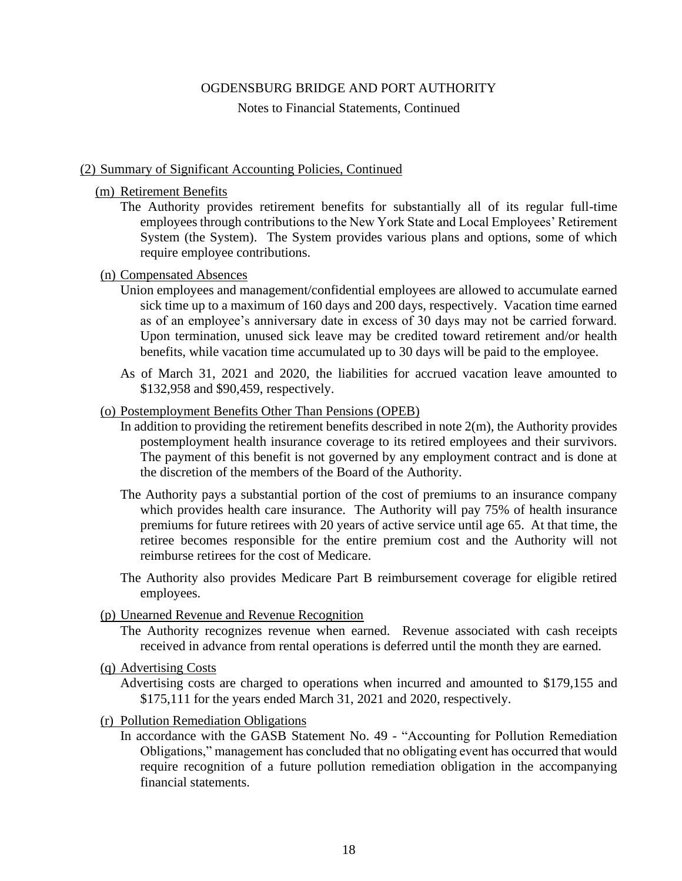Notes to Financial Statements, Continued

# (2) Summary of Significant Accounting Policies, Continued

### (m) Retirement Benefits

The Authority provides retirement benefits for substantially all of its regular full-time employees through contributions to the New York State and Local Employees' Retirement System (the System). The System provides various plans and options, some of which require employee contributions.

### (n) Compensated Absences

- Union employees and management/confidential employees are allowed to accumulate earned sick time up to a maximum of 160 days and 200 days, respectively. Vacation time earned as of an employee's anniversary date in excess of 30 days may not be carried forward. Upon termination, unused sick leave may be credited toward retirement and/or health benefits, while vacation time accumulated up to 30 days will be paid to the employee.
- As of March 31, 2021 and 2020, the liabilities for accrued vacation leave amounted to \$132,958 and \$90,459, respectively.

#### (o) Postemployment Benefits Other Than Pensions (OPEB)

- In addition to providing the retirement benefits described in note  $2(m)$ , the Authority provides postemployment health insurance coverage to its retired employees and their survivors. The payment of this benefit is not governed by any employment contract and is done at the discretion of the members of the Board of the Authority.
- The Authority pays a substantial portion of the cost of premiums to an insurance company which provides health care insurance. The Authority will pay 75% of health insurance premiums for future retirees with 20 years of active service until age 65. At that time, the retiree becomes responsible for the entire premium cost and the Authority will not reimburse retirees for the cost of Medicare.
- The Authority also provides Medicare Part B reimbursement coverage for eligible retired employees.

#### (p) Unearned Revenue and Revenue Recognition

The Authority recognizes revenue when earned. Revenue associated with cash receipts received in advance from rental operations is deferred until the month they are earned.

#### (q) Advertising Costs

Advertising costs are charged to operations when incurred and amounted to \$179,155 and \$175,111 for the years ended March 31, 2021 and 2020, respectively.

# (r) Pollution Remediation Obligations

In accordance with the GASB Statement No. 49 - "Accounting for Pollution Remediation Obligations," management has concluded that no obligating event has occurred that would require recognition of a future pollution remediation obligation in the accompanying financial statements.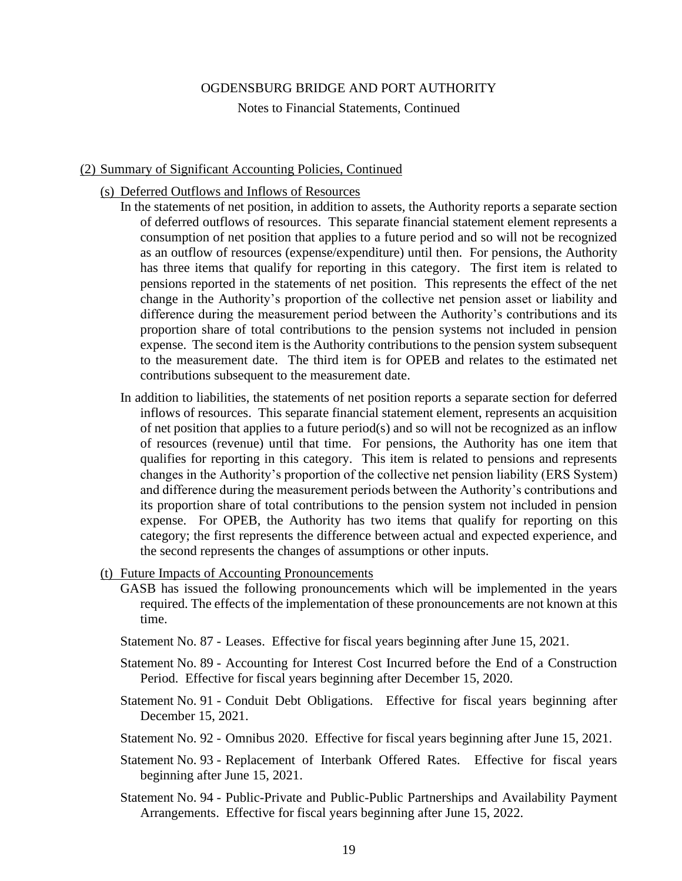Notes to Financial Statements, Continued

#### (2) Summary of Significant Accounting Policies, Continued

- (s) Deferred Outflows and Inflows of Resources
	- In the statements of net position, in addition to assets, the Authority reports a separate section of deferred outflows of resources. This separate financial statement element represents a consumption of net position that applies to a future period and so will not be recognized as an outflow of resources (expense/expenditure) until then. For pensions, the Authority has three items that qualify for reporting in this category. The first item is related to pensions reported in the statements of net position. This represents the effect of the net change in the Authority's proportion of the collective net pension asset or liability and difference during the measurement period between the Authority's contributions and its proportion share of total contributions to the pension systems not included in pension expense. The second item is the Authority contributions to the pension system subsequent to the measurement date. The third item is for OPEB and relates to the estimated net contributions subsequent to the measurement date.
	- In addition to liabilities, the statements of net position reports a separate section for deferred inflows of resources. This separate financial statement element, represents an acquisition of net position that applies to a future period(s) and so will not be recognized as an inflow of resources (revenue) until that time. For pensions, the Authority has one item that qualifies for reporting in this category. This item is related to pensions and represents changes in the Authority's proportion of the collective net pension liability (ERS System) and difference during the measurement periods between the Authority's contributions and its proportion share of total contributions to the pension system not included in pension expense. For OPEB, the Authority has two items that qualify for reporting on this category; the first represents the difference between actual and expected experience, and the second represents the changes of assumptions or other inputs.
- (t) Future Impacts of Accounting Pronouncements
	- GASB has issued the following pronouncements which will be implemented in the years required. The effects of the implementation of these pronouncements are not known at this time.
	- Statement No. 87 Leases. Effective for fiscal years beginning after June 15, 2021.
	- Statement No. 89 Accounting for Interest Cost Incurred before the End of a Construction Period. Effective for fiscal years beginning after December 15, 2020.
	- Statement No. 91 Conduit Debt Obligations. Effective for fiscal years beginning after December 15, 2021.
	- Statement No. 92 Omnibus 2020. Effective for fiscal years beginning after June 15, 2021.
	- Statement No. 93 Replacement of Interbank Offered Rates. Effective for fiscal years beginning after June 15, 2021.
	- Statement No. 94 Public-Private and Public-Public Partnerships and Availability Payment Arrangements. Effective for fiscal years beginning after June 15, 2022.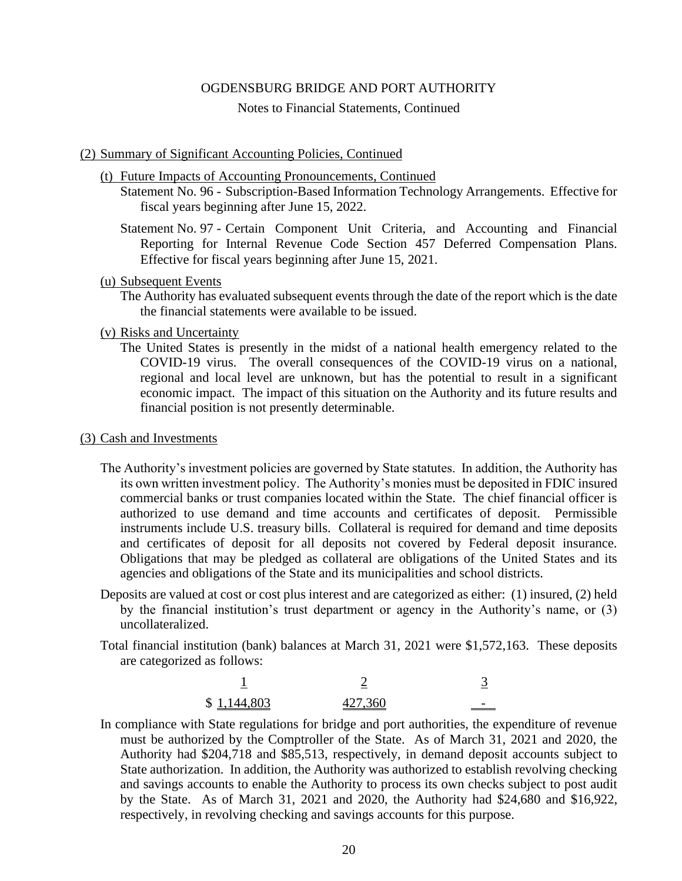#### Notes to Financial Statements, Continued

#### (2) Summary of Significant Accounting Policies, Continued

- (t) Future Impacts of Accounting Pronouncements, Continued
	- Statement No. 96 Subscription-Based Information Technology Arrangements. Effective for fiscal years beginning after June 15, 2022.
	- Statement No. 97 Certain Component Unit Criteria, and Accounting and Financial Reporting for Internal Revenue Code Section 457 Deferred Compensation Plans. Effective for fiscal years beginning after June 15, 2021.
- (u) Subsequent Events
	- The Authority has evaluated subsequent events through the date of the report which is the date the financial statements were available to be issued.
- (v) Risks and Uncertainty
	- The United States is presently in the midst of a national health emergency related to the COVID-19 virus. The overall consequences of the COVID-19 virus on a national, regional and local level are unknown, but has the potential to result in a significant economic impact. The impact of this situation on the Authority and its future results and financial position is not presently determinable.

#### (3) Cash and Investments

- The Authority's investment policies are governed by State statutes. In addition, the Authority has its own written investment policy. The Authority's monies must be deposited in FDIC insured commercial banks or trust companies located within the State. The chief financial officer is authorized to use demand and time accounts and certificates of deposit. Permissible instruments include U.S. treasury bills. Collateral is required for demand and time deposits and certificates of deposit for all deposits not covered by Federal deposit insurance. Obligations that may be pledged as collateral are obligations of the United States and its agencies and obligations of the State and its municipalities and school districts.
- Deposits are valued at cost or cost plus interest and are categorized as either: (1) insured, (2) held by the financial institution's trust department or agency in the Authority's name, or (3) uncollateralized.
- Total financial institution (bank) balances at March 31, 2021 were \$1,572,163. These deposits are categorized as follows:

| \$1,144,803 | 427,360 |  |
|-------------|---------|--|

In compliance with State regulations for bridge and port authorities, the expenditure of revenue must be authorized by the Comptroller of the State. As of March 31, 2021 and 2020, the Authority had \$204,718 and \$85,513, respectively, in demand deposit accounts subject to State authorization. In addition, the Authority was authorized to establish revolving checking and savings accounts to enable the Authority to process its own checks subject to post audit by the State. As of March 31, 2021 and 2020, the Authority had \$24,680 and \$16,922, respectively, in revolving checking and savings accounts for this purpose.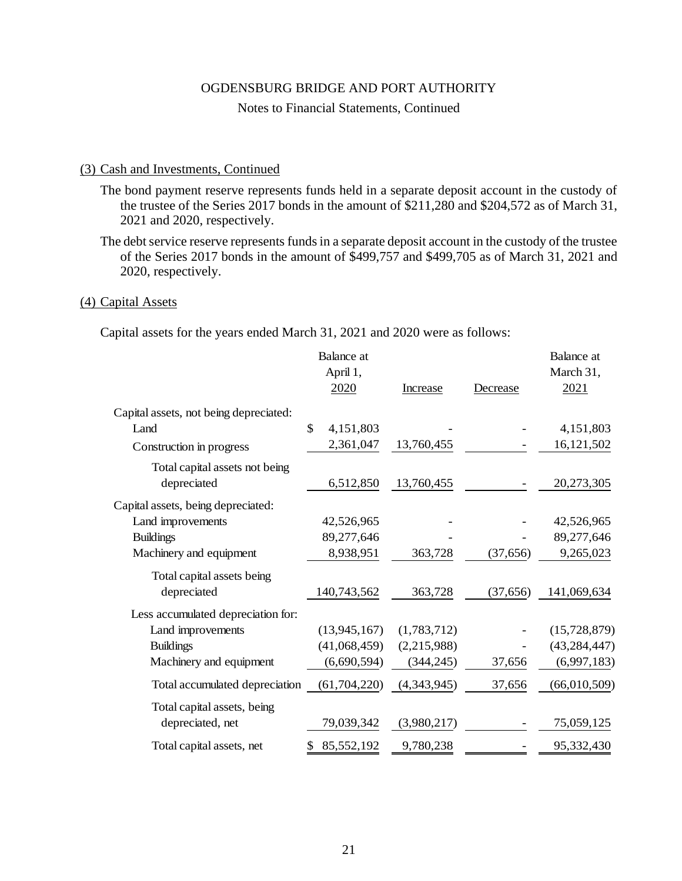#### Notes to Financial Statements, Continued

#### (3) Cash and Investments, Continued

The bond payment reserve represents funds held in a separate deposit account in the custody of the trustee of the Series 2017 bonds in the amount of \$211,280 and \$204,572 as of March 31, 2021 and 2020, respectively.

The debt service reserve represents funds in a separate deposit account in the custody of the trustee of the Series 2017 bonds in the amount of \$499,757 and \$499,705 as of March 31, 2021 and 2020, respectively.

#### (4) Capital Assets

Capital assets for the years ended March 31, 2021 and 2020 were as follows:

|                                        | <b>Balance</b> at          |             |           | Balance at     |
|----------------------------------------|----------------------------|-------------|-----------|----------------|
|                                        | April 1,                   |             |           | March 31,      |
|                                        | 2020                       | Increase    | Decrease  | 2021           |
| Capital assets, not being depreciated: |                            |             |           |                |
| Land                                   | $\mathcal{S}$<br>4,151,803 |             |           | 4,151,803      |
| Construction in progress               | 2,361,047                  | 13,760,455  |           | 16,121,502     |
| Total capital assets not being         |                            |             |           |                |
| depreciated                            | 6,512,850                  | 13,760,455  |           | 20,273,305     |
| Capital assets, being depreciated:     |                            |             |           |                |
| Land improvements                      | 42,526,965                 |             |           | 42,526,965     |
| <b>Buildings</b>                       | 89,277,646                 |             |           | 89,277,646     |
| Machinery and equipment                | 8,938,951                  | 363,728     | (37, 656) | 9,265,023      |
| Total capital assets being             |                            |             |           |                |
| depreciated                            | 140,743,562                | 363,728     | (37, 656) | 141,069,634    |
| Less accumulated depreciation for:     |                            |             |           |                |
| Land improvements                      | (13, 945, 167)             | (1,783,712) |           | (15, 728, 879) |
| <b>Buildings</b>                       | (41,068,459)               | (2,215,988) |           | (43, 284, 447) |
| Machinery and equipment                | (6,690,594)                | (344, 245)  | 37,656    | (6,997,183)    |
| Total accumulated depreciation         | (61, 704, 220)             | (4,343,945) | 37,656    | (66,010,509)   |
| Total capital assets, being            |                            |             |           |                |
| depreciated, net                       | 79,039,342                 | (3,980,217) |           | 75,059,125     |
| Total capital assets, net              | 85,552,192<br>\$           | 9,780,238   |           | 95,332,430     |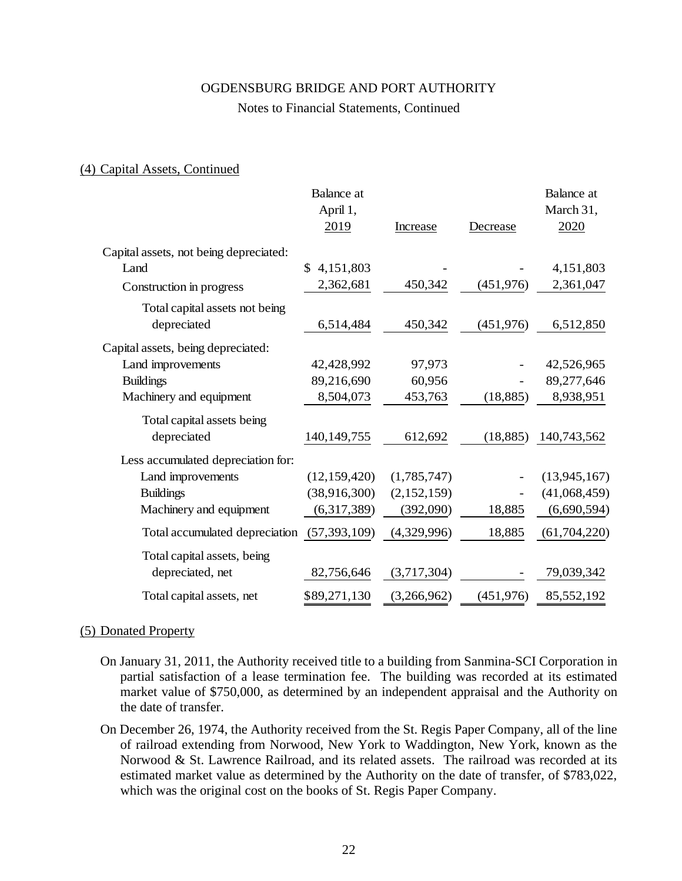#### Notes to Financial Statements, Continued

#### (4) Capital Assets, Continued

|                                             | <b>Balance</b> at |             |            | Balance at     |
|---------------------------------------------|-------------------|-------------|------------|----------------|
|                                             | April 1,          |             |            | March 31,      |
|                                             | 2019              | Increase    | Decrease   | 2020           |
| Capital assets, not being depreciated:      |                   |             |            |                |
| Land                                        | 4,151,803<br>\$.  |             |            | 4,151,803      |
| Construction in progress                    | 2,362,681         | 450,342     | (451, 976) | 2,361,047      |
| Total capital assets not being              |                   |             |            |                |
| depreciated                                 | 6,514,484         | 450,342     | (451, 976) | 6,512,850      |
| Capital assets, being depreciated:          |                   |             |            |                |
| Land improvements                           | 42,428,992        | 97,973      |            | 42,526,965     |
| <b>Buildings</b>                            | 89,216,690        | 60,956      |            | 89,277,646     |
| Machinery and equipment                     | 8,504,073         | 453,763     | (18, 885)  | 8,938,951      |
| Total capital assets being                  |                   |             |            |                |
| depreciated                                 | 140, 149, 755     | 612,692     | (18, 885)  | 140,743,562    |
| Less accumulated depreciation for:          |                   |             |            |                |
| Land improvements                           | (12, 159, 420)    | (1,785,747) |            | (13, 945, 167) |
| <b>Buildings</b>                            | (38,916,300)      | (2,152,159) |            | (41,068,459)   |
| Machinery and equipment                     | (6,317,389)       | (392,090)   | 18,885     | (6,690,594)    |
| Total accumulated depreciation (57,393,109) |                   | (4,329,996) | 18,885     | (61, 704, 220) |
| Total capital assets, being                 |                   |             |            |                |
| depreciated, net                            | 82,756,646        | (3,717,304) |            | 79,039,342     |
| Total capital assets, net                   | \$89,271,130      | (3,266,962) | (451, 976) | 85,552,192     |

### (5) Donated Property

- On January 31, 2011, the Authority received title to a building from Sanmina-SCI Corporation in partial satisfaction of a lease termination fee. The building was recorded at its estimated market value of \$750,000, as determined by an independent appraisal and the Authority on the date of transfer.
- On December 26, 1974, the Authority received from the St. Regis Paper Company, all of the line of railroad extending from Norwood, New York to Waddington, New York, known as the Norwood & St. Lawrence Railroad, and its related assets. The railroad was recorded at its estimated market value as determined by the Authority on the date of transfer, of \$783,022, which was the original cost on the books of St. Regis Paper Company.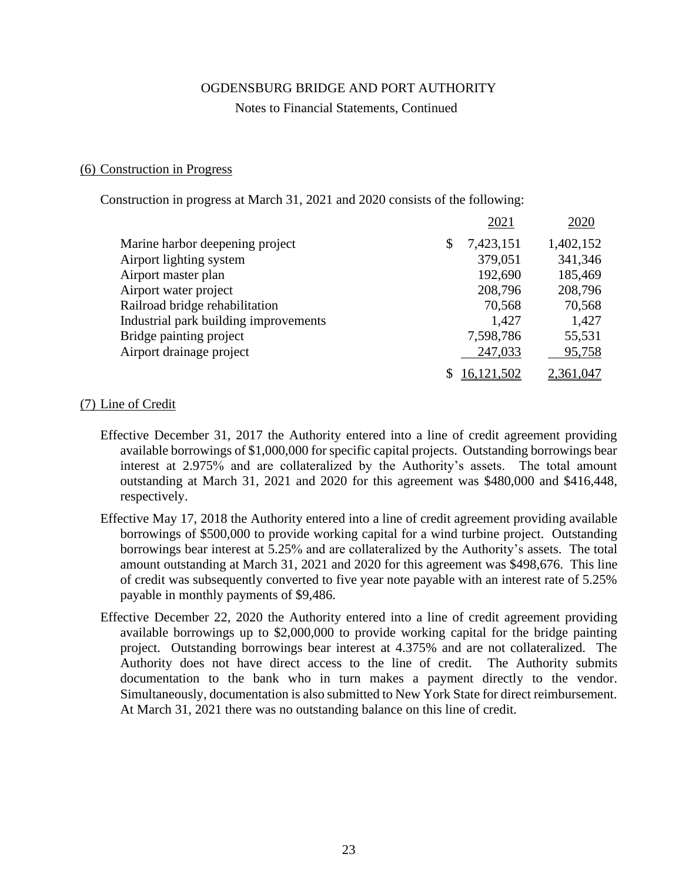### Notes to Financial Statements, Continued

# (6) Construction in Progress

Construction in progress at March 31, 2021 and 2020 consists of the following:

|                                       | 2021         | 2020      |
|---------------------------------------|--------------|-----------|
| Marine harbor deepening project       | 7,423,151    | 1,402,152 |
| Airport lighting system               | 379,051      | 341,346   |
| Airport master plan                   | 192,690      | 185,469   |
| Airport water project                 | 208,796      | 208,796   |
| Railroad bridge rehabilitation        | 70,568       | 70,568    |
| Industrial park building improvements | 1,427        | 1,427     |
| Bridge painting project               | 7,598,786    | 55,531    |
| Airport drainage project              | 247,033      | 95,758    |
|                                       | 16, 121, 502 | 2,361,047 |

# (7) Line of Credit

- Effective December 31, 2017 the Authority entered into a line of credit agreement providing available borrowings of \$1,000,000 for specific capital projects. Outstanding borrowings bear interest at 2.975% and are collateralized by the Authority's assets. The total amount outstanding at March 31, 2021 and 2020 for this agreement was \$480,000 and \$416,448, respectively.
- Effective May 17, 2018 the Authority entered into a line of credit agreement providing available borrowings of \$500,000 to provide working capital for a wind turbine project. Outstanding borrowings bear interest at 5.25% and are collateralized by the Authority's assets. The total amount outstanding at March 31, 2021 and 2020 for this agreement was \$498,676. This line of credit was subsequently converted to five year note payable with an interest rate of 5.25% payable in monthly payments of \$9,486.
- Effective December 22, 2020 the Authority entered into a line of credit agreement providing available borrowings up to \$2,000,000 to provide working capital for the bridge painting project. Outstanding borrowings bear interest at 4.375% and are not collateralized. The Authority does not have direct access to the line of credit. The Authority submits documentation to the bank who in turn makes a payment directly to the vendor. Simultaneously, documentation is also submitted to New York State for direct reimbursement. At March 31, 2021 there was no outstanding balance on this line of credit.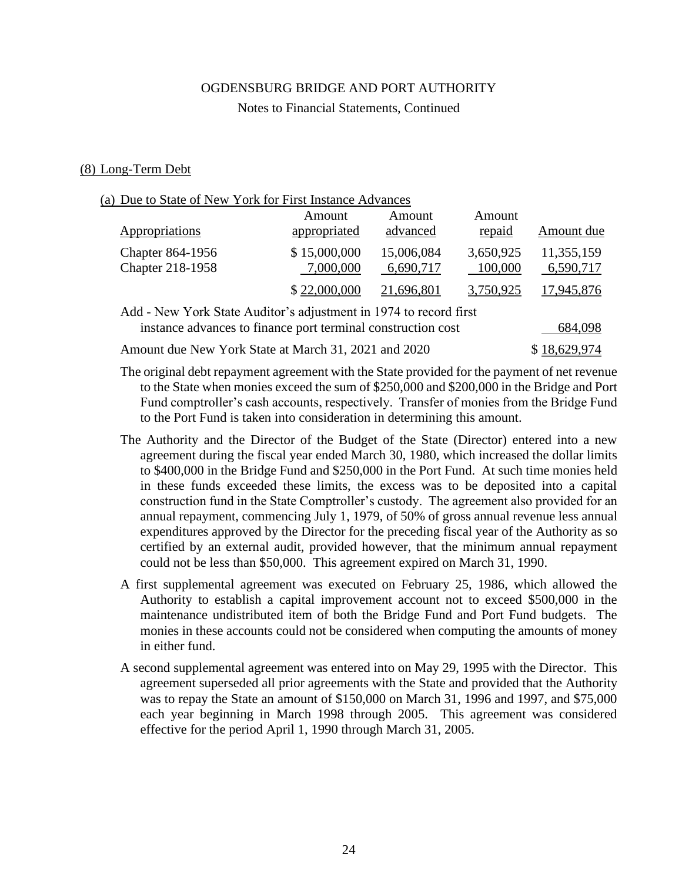#### Notes to Financial Statements, Continued

#### (8) Long-Term Debt

#### (a) Due to State of New York for First Instance Advances

| <b>Appropriations</b>                       | Amount<br>appropriated    | Amount<br>advanced      | Amount<br>repaid     | Amount due              |
|---------------------------------------------|---------------------------|-------------------------|----------------------|-------------------------|
| Chapter 864-1956<br><b>Chapter 218-1958</b> | \$15,000,000<br>7,000,000 | 15,006,084<br>6.690.717 | 3,650,925<br>100,000 | 11,355,159<br>6,590,717 |
|                                             | \$22,000,000              | 21,696,801              | 3,750,925            | 17,945,876              |

Add - New York State Auditor's adjustment in 1974 to record first instance advances to finance port terminal construction cost 684,098

Amount due New York State at March 31, 2021 and 2020 \$ 18,629,974

- The original debt repayment agreement with the State provided for the payment of net revenue to the State when monies exceed the sum of \$250,000 and \$200,000 in the Bridge and Port Fund comptroller's cash accounts, respectively. Transfer of monies from the Bridge Fund to the Port Fund is taken into consideration in determining this amount.
- The Authority and the Director of the Budget of the State (Director) entered into a new agreement during the fiscal year ended March 30, 1980, which increased the dollar limits to \$400,000 in the Bridge Fund and \$250,000 in the Port Fund. At such time monies held in these funds exceeded these limits, the excess was to be deposited into a capital construction fund in the State Comptroller's custody. The agreement also provided for an annual repayment, commencing July 1, 1979, of 50% of gross annual revenue less annual expenditures approved by the Director for the preceding fiscal year of the Authority as so certified by an external audit, provided however, that the minimum annual repayment could not be less than \$50,000. This agreement expired on March 31, 1990.
- A first supplemental agreement was executed on February 25, 1986, which allowed the Authority to establish a capital improvement account not to exceed \$500,000 in the maintenance undistributed item of both the Bridge Fund and Port Fund budgets. The monies in these accounts could not be considered when computing the amounts of money in either fund.
- A second supplemental agreement was entered into on May 29, 1995 with the Director. This agreement superseded all prior agreements with the State and provided that the Authority was to repay the State an amount of \$150,000 on March 31, 1996 and 1997, and \$75,000 each year beginning in March 1998 through 2005. This agreement was considered effective for the period April 1, 1990 through March 31, 2005.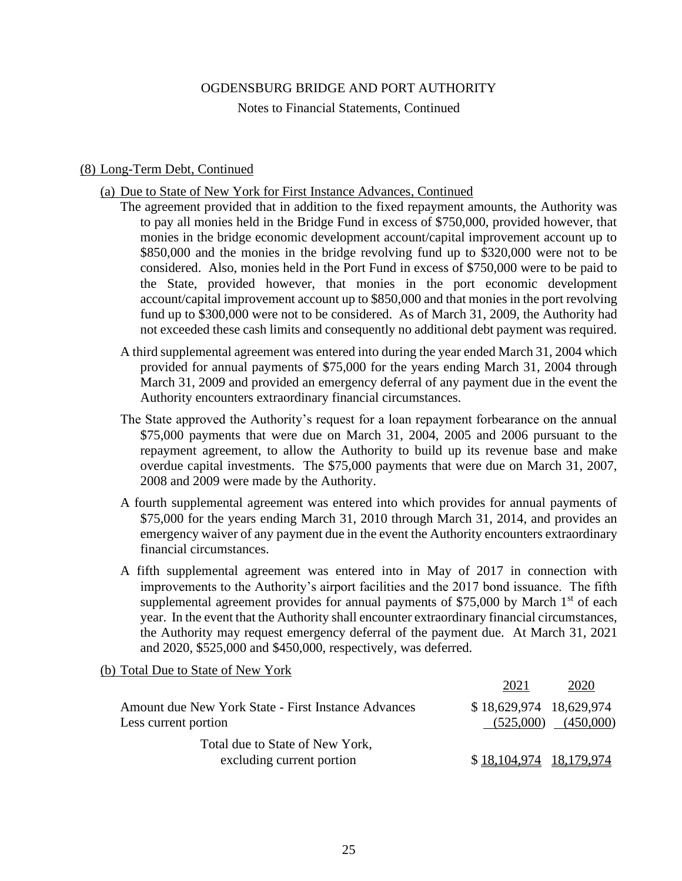Notes to Financial Statements, Continued

### (8) Long-Term Debt, Continued

- (a) Due to State of New York for First Instance Advances, Continued
	- The agreement provided that in addition to the fixed repayment amounts, the Authority was to pay all monies held in the Bridge Fund in excess of \$750,000, provided however, that monies in the bridge economic development account/capital improvement account up to \$850,000 and the monies in the bridge revolving fund up to \$320,000 were not to be considered. Also, monies held in the Port Fund in excess of \$750,000 were to be paid to the State, provided however, that monies in the port economic development account/capital improvement account up to \$850,000 and that monies in the port revolving fund up to \$300,000 were not to be considered. As of March 31, 2009, the Authority had not exceeded these cash limits and consequently no additional debt payment was required.
	- A third supplemental agreement was entered into during the year ended March 31, 2004 which provided for annual payments of \$75,000 for the years ending March 31, 2004 through March 31, 2009 and provided an emergency deferral of any payment due in the event the Authority encounters extraordinary financial circumstances.
	- The State approved the Authority's request for a loan repayment forbearance on the annual \$75,000 payments that were due on March 31, 2004, 2005 and 2006 pursuant to the repayment agreement, to allow the Authority to build up its revenue base and make overdue capital investments. The \$75,000 payments that were due on March 31, 2007, 2008 and 2009 were made by the Authority.
	- A fourth supplemental agreement was entered into which provides for annual payments of \$75,000 for the years ending March 31, 2010 through March 31, 2014, and provides an emergency waiver of any payment due in the event the Authority encounters extraordinary financial circumstances.
	- A fifth supplemental agreement was entered into in May of 2017 in connection with improvements to the Authority's airport facilities and the 2017 bond issuance. The fifth supplemental agreement provides for annual payments of \$75,000 by March  $1<sup>st</sup>$  of each year. In the event that the Authority shall encounter extraordinary financial circumstances, the Authority may request emergency deferral of the payment due. At March 31, 2021 and 2020, \$525,000 and \$450,000, respectively, was deferred.

#### (b) Total Due to State of New York

|                                                                             | 2021                                 | 2020      |
|-----------------------------------------------------------------------------|--------------------------------------|-----------|
| Amount due New York State - First Instance Advances<br>Less current portion | \$18,629,974 18,629,974<br>(525,000) | (450,000) |
| Total due to State of New York,                                             |                                      |           |
| excluding current portion                                                   | \$18,104,974 18,179,974              |           |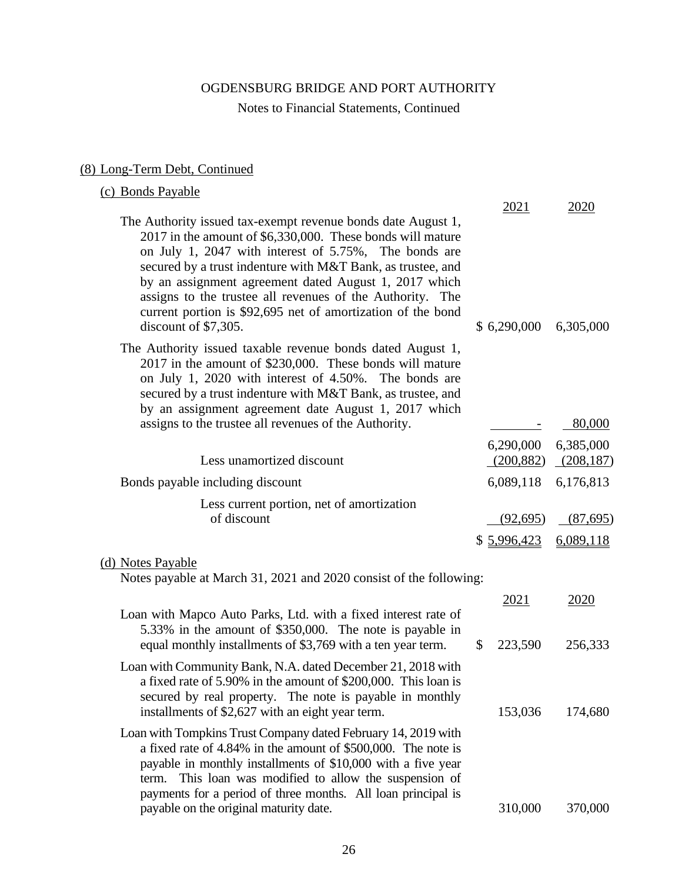#### Notes to Financial Statements, Continued

#### (8) Long-Term Debt, Continued

# (c) Bonds Payable 2021 2020 The Authority issued tax-exempt revenue bonds date August 1, 2017 in the amount of \$6,330,000. These bonds will mature on July 1, 2047 with interest of 5.75%, The bonds are secured by a trust indenture with M&T Bank, as trustee, and by an assignment agreement dated August 1, 2017 which assigns to the trustee all revenues of the Authority. The current portion is \$92,695 net of amortization of the bond discount of \$7,305.  $$6,290,000 \quad 6,305,000$ The Authority issued taxable revenue bonds dated August 1, 2017 in the amount of \$230,000. These bonds will mature on July 1, 2020 with interest of 4.50%. The bonds are secured by a trust indenture with M&T Bank, as trustee, and by an assignment agreement date August 1, 2017 which assigns to the trustee all revenues of the Authority.  $\frac{80,000}{2}$ 6,290,000 6,385,000 Less unamortized discount (200,882) (208,187) Bonds payable including discount 6,089,118 6,176,813 Less current portion, net of amortization of discount (92,695) (87,695) \$ 5,996,423 6,089,118 (d) Notes Payable Notes payable at March 31, 2021 and 2020 consist of the following: 2021 2020 Loan with Mapco Auto Parks, Ltd. with a fixed interest rate of 5.33% in the amount of \$350,000. The note is payable in equal monthly installments of \$3,769 with a ten year term. \$ 223,590 256,333 Loan with Community Bank, N.A. dated December 21, 2018 with a fixed rate of 5.90% in the amount of \$200,000. This loan is secured by real property. The note is payable in monthly installments of \$2,627 with an eight year term. 153,036 174,680 Loan with Tompkins Trust Company dated February 14, 2019 with a fixed rate of 4.84% in the amount of \$500,000. The note is payable in monthly installments of \$10,000 with a five year term. This loan was modified to allow the suspension of

payments for a period of three months. All loan principal is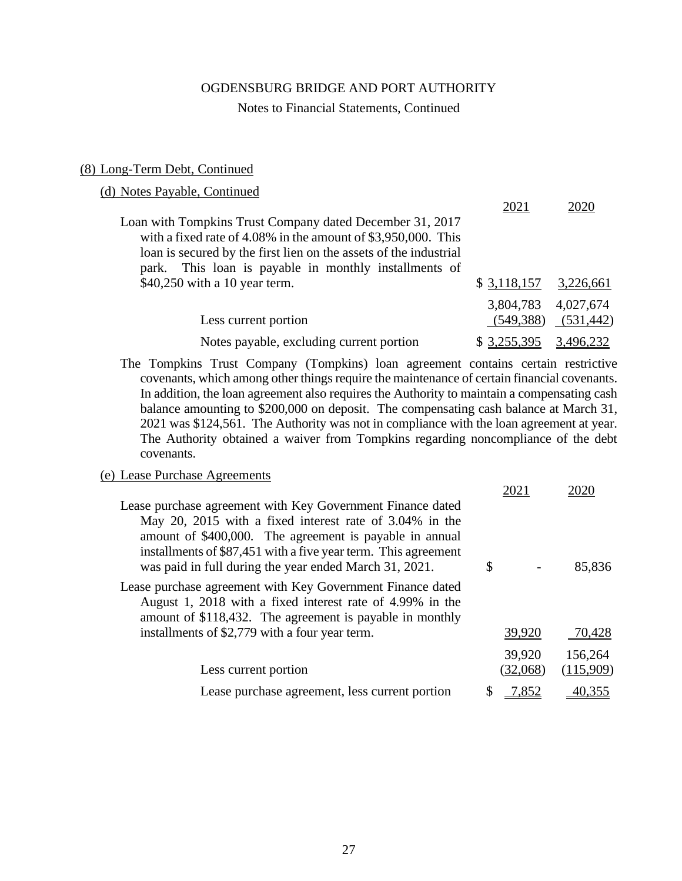#### Notes to Financial Statements, Continued

#### (8) Long-Term Debt, Continued

# (d) Notes Payable, Continued

|                                                                                                                                                                                                                                                         | 2021                                           | 2020 |
|---------------------------------------------------------------------------------------------------------------------------------------------------------------------------------------------------------------------------------------------------------|------------------------------------------------|------|
| Loan with Tompkins Trust Company dated December 31, 2017<br>with a fixed rate of 4.08% in the amount of \$3,950,000. This<br>loan is secured by the first lien on the assets of the industrial<br>park. This loan is payable in monthly installments of |                                                |      |
| $$40,250$ with a 10 year term.                                                                                                                                                                                                                          | $$3,118,157$ $3,226,661$                       |      |
| Less current portion                                                                                                                                                                                                                                    | 3,804,783 4,027,674<br>$(549,388)$ $(531,442)$ |      |
| Notes payable, excluding current portion                                                                                                                                                                                                                | $$3,255,395$ $3,496,232$                       |      |

The Tompkins Trust Company (Tompkins) loan agreement contains certain restrictive covenants, which among other things require the maintenance of certain financial covenants. In addition, the loan agreement also requires the Authority to maintain a compensating cash balance amounting to \$200,000 on deposit. The compensating cash balance at March 31, 2021 was \$124,561. The Authority was not in compliance with the loan agreement at year. The Authority obtained a waiver from Tompkins regarding noncompliance of the debt covenants.

2021 2020

#### (e) Lease Purchase Agreements

|                                                                                                                                                                                                                                                                                                              |   | ZUZI               | ∠U∠U                 |
|--------------------------------------------------------------------------------------------------------------------------------------------------------------------------------------------------------------------------------------------------------------------------------------------------------------|---|--------------------|----------------------|
| Lease purchase agreement with Key Government Finance dated<br>May 20, 2015 with a fixed interest rate of 3.04% in the<br>amount of \$400,000. The agreement is payable in annual<br>installments of \$87,451 with a five year term. This agreement<br>was paid in full during the year ended March 31, 2021. | S |                    | 85,836               |
| Lease purchase agreement with Key Government Finance dated<br>August 1, 2018 with a fixed interest rate of 4.99% in the<br>amount of \$118,432. The agreement is payable in monthly                                                                                                                          |   |                    |                      |
| installments of \$2,779 with a four year term.                                                                                                                                                                                                                                                               |   | 39,920             | 70,428               |
| Less current portion                                                                                                                                                                                                                                                                                         |   | 39,920<br>(32,068) | 156,264<br>(115,909) |
| Lease purchase agreement, less current portion                                                                                                                                                                                                                                                               |   | 7,852              | 40,355               |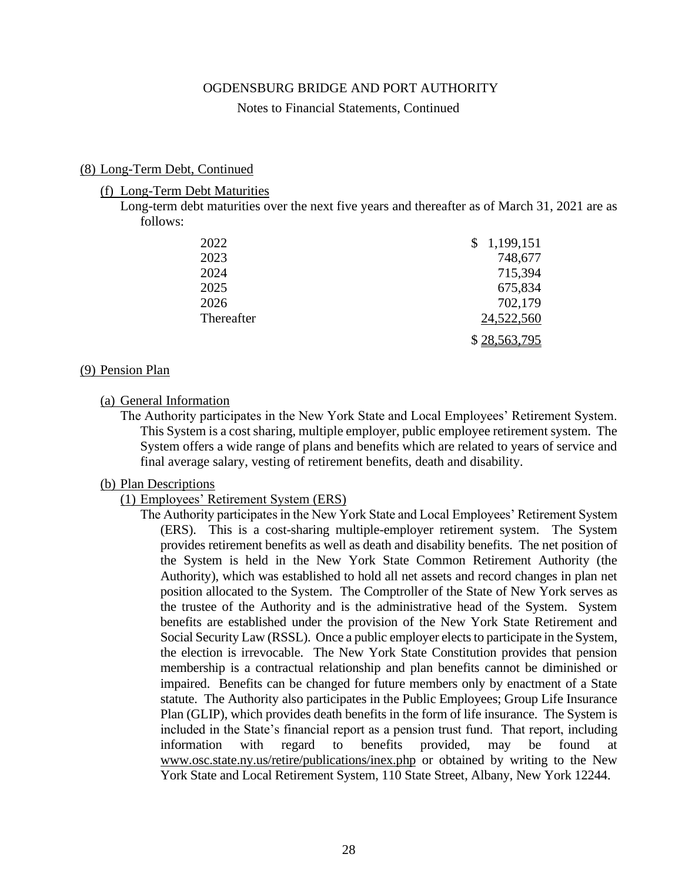#### Notes to Financial Statements, Continued

#### (8) Long-Term Debt, Continued

# (f) Long-Term Debt Maturities

Long-term debt maturities over the next five years and thereafter as of March 31, 2021 are as follows:

| 2022       | \$1,199,151  |
|------------|--------------|
| 2023       | 748,677      |
| 2024       | 715,394      |
| 2025       | 675,834      |
| 2026       | 702,179      |
| Thereafter | 24,522,560   |
|            | \$28,563,795 |

#### (9) Pension Plan

#### (a) General Information

The Authority participates in the New York State and Local Employees' Retirement System. This System is a cost sharing, multiple employer, public employee retirement system. The System offers a wide range of plans and benefits which are related to years of service and final average salary, vesting of retirement benefits, death and disability.

#### (b) Plan Descriptions

#### (1) Employees' Retirement System (ERS)

The Authority participates in the New York State and Local Employees' Retirement System (ERS). This is a cost-sharing multiple-employer retirement system. The System provides retirement benefits as well as death and disability benefits. The net position of the System is held in the New York State Common Retirement Authority (the Authority), which was established to hold all net assets and record changes in plan net position allocated to the System. The Comptroller of the State of New York serves as the trustee of the Authority and is the administrative head of the System. System benefits are established under the provision of the New York State Retirement and Social Security Law (RSSL). Once a public employer elects to participate in the System, the election is irrevocable. The New York State Constitution provides that pension membership is a contractual relationship and plan benefits cannot be diminished or impaired. Benefits can be changed for future members only by enactment of a State statute. The Authority also participates in the Public Employees; Group Life Insurance Plan (GLIP), which provides death benefits in the form of life insurance. The System is included in the State's financial report as a pension trust fund. That report, including information with regard to benefits provided, may be found at [www.osc.state.ny.us/retire/publications/inex.php](http://www.osc.state.ny.us/retire/publications/inex.php) or obtained by writing to the New York State and Local Retirement System, 110 State Street, Albany, New York 12244.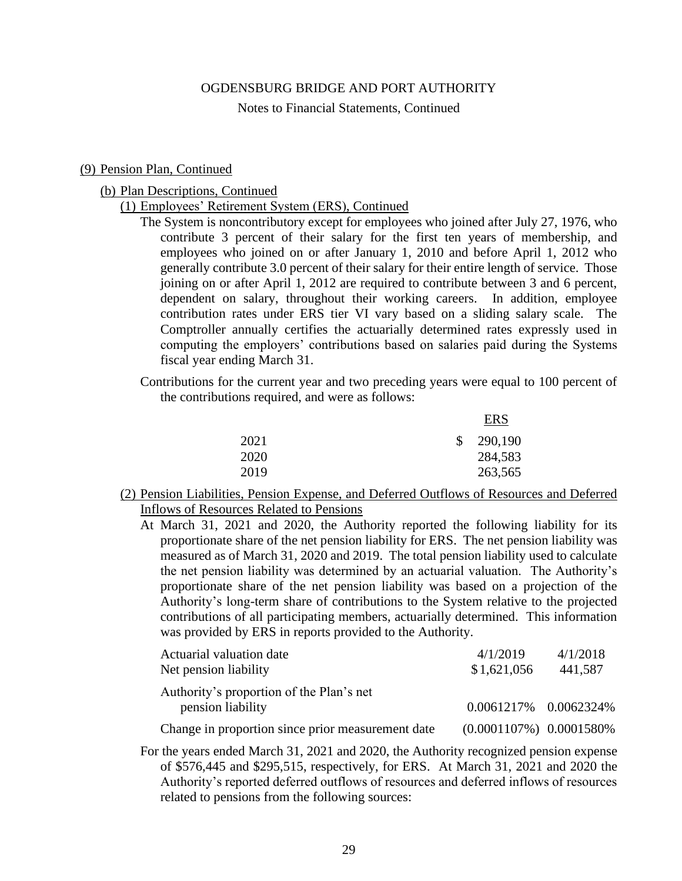Notes to Financial Statements, Continued

#### (9) Pension Plan, Continued

#### (b) Plan Descriptions, Continued

(1) Employees' Retirement System (ERS), Continued

- The System is noncontributory except for employees who joined after July 27, 1976, who contribute 3 percent of their salary for the first ten years of membership, and employees who joined on or after January 1, 2010 and before April 1, 2012 who generally contribute 3.0 percent of their salary for their entire length of service. Those joining on or after April 1, 2012 are required to contribute between 3 and 6 percent, dependent on salary, throughout their working careers. In addition, employee contribution rates under ERS tier VI vary based on a sliding salary scale. The Comptroller annually certifies the actuarially determined rates expressly used in computing the employers' contributions based on salaries paid during the Systems fiscal year ending March 31.
- Contributions for the current year and two preceding years were equal to 100 percent of the contributions required, and were as follows:

|      |               | <b>ERS</b> |
|------|---------------|------------|
| 2021 | <sup>\$</sup> | 290,190    |
| 2020 |               | 284,583    |
| 2019 |               | 263,565    |

- (2) Pension Liabilities, Pension Expense, and Deferred Outflows of Resources and Deferred Inflows of Resources Related to Pensions
	- At March 31, 2021 and 2020, the Authority reported the following liability for its proportionate share of the net pension liability for ERS. The net pension liability was measured as of March 31, 2020 and 2019. The total pension liability used to calculate the net pension liability was determined by an actuarial valuation. The Authority's proportionate share of the net pension liability was based on a projection of the Authority's long-term share of contributions to the System relative to the projected contributions of all participating members, actuarially determined. This information was provided by ERS in reports provided to the Authority.

| Actuarial valuation date                          | 4/1/2019                    | 4/1/2018 |
|---------------------------------------------------|-----------------------------|----------|
| Net pension liability                             | \$1,621,056                 | 441,587  |
| Authority's proportion of the Plan's net          |                             |          |
| pension liability                                 | 0.0061217% 0.0062324%       |          |
| Change in proportion since prior measurement date | $(0.0001107\%)$ 0.0001580\% |          |

For the years ended March 31, 2021 and 2020, the Authority recognized pension expense of \$576,445 and \$295,515, respectively, for ERS. At March 31, 2021 and 2020 the Authority's reported deferred outflows of resources and deferred inflows of resources related to pensions from the following sources: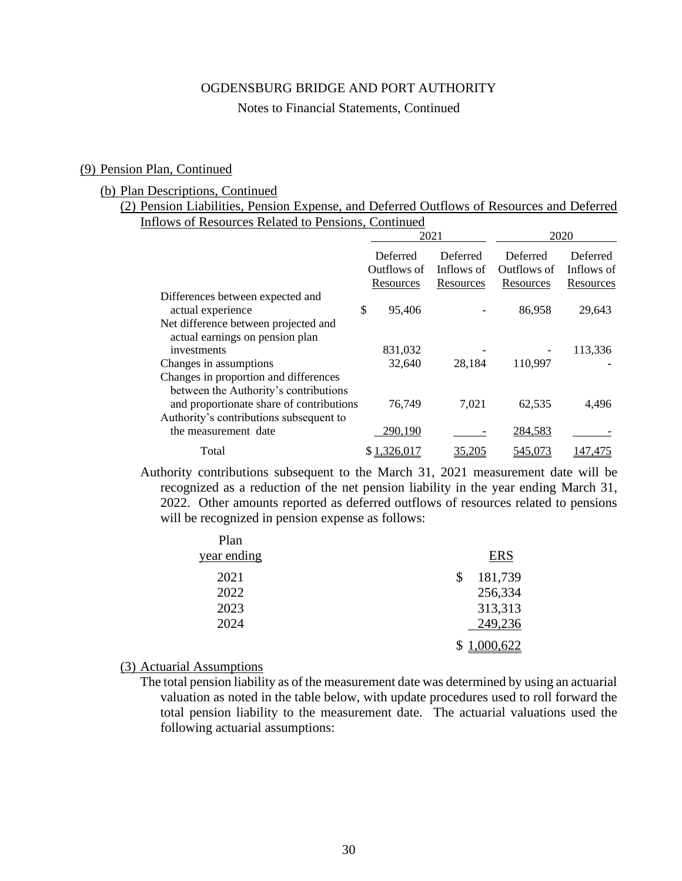#### Notes to Financial Statements, Continued

#### (9) Pension Plan, Continued

#### (b) Plan Descriptions, Continued

#### (2) Pension Liabilities, Pension Expense, and Deferred Outflows of Resources and Deferred Inflows of Resources Related to Pensions, Continued

|                                                                                | 2021                                 |                                     |                                      | 2020                                |  |
|--------------------------------------------------------------------------------|--------------------------------------|-------------------------------------|--------------------------------------|-------------------------------------|--|
|                                                                                | Deferred<br>Outflows of<br>Resources | Deferred<br>Inflows of<br>Resources | Deferred<br>Outflows of<br>Resources | Deferred<br>Inflows of<br>Resources |  |
| Differences between expected and                                               |                                      |                                     |                                      |                                     |  |
| actual experience                                                              | \$<br>95,406                         |                                     | 86,958                               | 29,643                              |  |
| Net difference between projected and                                           |                                      |                                     |                                      |                                     |  |
| actual earnings on pension plan                                                |                                      |                                     |                                      |                                     |  |
| investments                                                                    | 831,032                              |                                     |                                      | 113,336                             |  |
| Changes in assumptions                                                         | 32,640                               | 28,184                              | 110,997                              |                                     |  |
| Changes in proportion and differences<br>between the Authority's contributions |                                      |                                     |                                      |                                     |  |
| and proportionate share of contributions                                       | 76,749                               | 7,021                               | 62,535                               | 4,496                               |  |
| Authority's contributions subsequent to                                        |                                      |                                     |                                      |                                     |  |
| the measurement date                                                           | 290,190                              |                                     | 284,583                              |                                     |  |
| Total                                                                          | \$1,326,017                          | <u>35,205</u>                       | 545,073                              | 147,475                             |  |

Authority contributions subsequent to the March 31, 2021 measurement date will be recognized as a reduction of the net pension liability in the year ending March 31, 2022. Other amounts reported as deferred outflows of resources related to pensions will be recognized in pension expense as follows:

| Plan        |               |
|-------------|---------------|
| year ending | <b>ERS</b>    |
| 2021        | \$<br>181,739 |
| 2022        | 256,334       |
| 2023        | 313,313       |
| 2024        | 249,236       |
|             | \$1,000,622   |

#### (3) Actuarial Assumptions

The total pension liability as of the measurement date was determined by using an actuarial valuation as noted in the table below, with update procedures used to roll forward the total pension liability to the measurement date. The actuarial valuations used the following actuarial assumptions: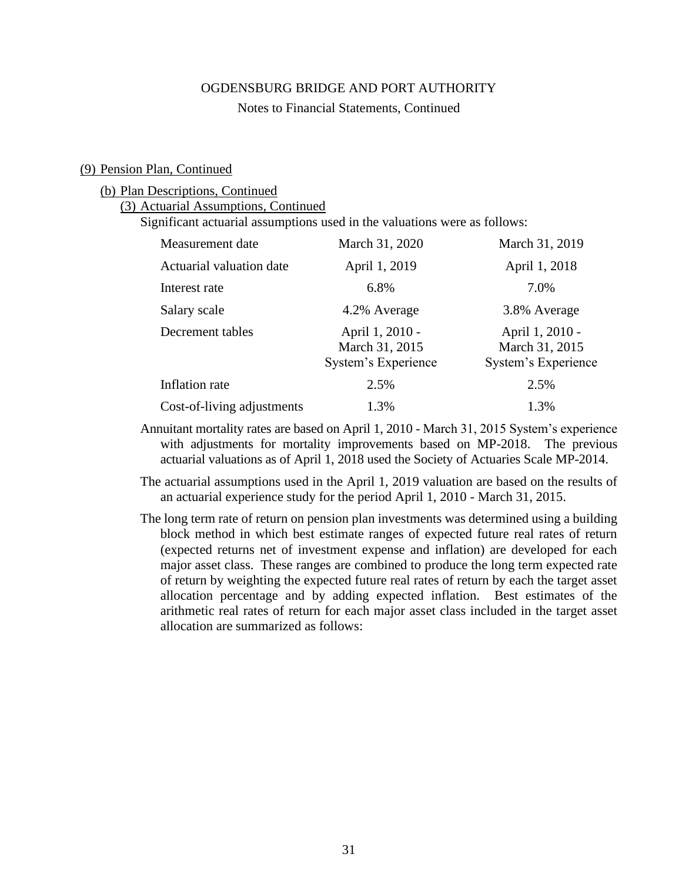#### Notes to Financial Statements, Continued

#### (9) Pension Plan, Continued

#### (b) Plan Descriptions, Continued

(3) Actuarial Assumptions, Continued

Significant actuarial assumptions used in the valuations were as follows:

| Measurement date           | March 31, 2020                                           | March 31, 2019                                           |
|----------------------------|----------------------------------------------------------|----------------------------------------------------------|
| Actuarial valuation date   | April 1, 2019                                            | April 1, 2018                                            |
| Interest rate              | 6.8%                                                     | 7.0%                                                     |
| Salary scale               | 4.2% Average                                             | 3.8% Average                                             |
| Decrement tables           | April 1, 2010 -<br>March 31, 2015<br>System's Experience | April 1, 2010 -<br>March 31, 2015<br>System's Experience |
| Inflation rate             | 2.5%                                                     | 2.5%                                                     |
| Cost-of-living adjustments | 1.3%                                                     | 1.3%                                                     |

- Annuitant mortality rates are based on April 1, 2010 March 31, 2015 System's experience with adjustments for mortality improvements based on MP-2018. The previous actuarial valuations as of April 1, 2018 used the Society of Actuaries Scale MP-2014.
- The actuarial assumptions used in the April 1, 2019 valuation are based on the results of an actuarial experience study for the period April 1, 2010 - March 31, 2015.
- The long term rate of return on pension plan investments was determined using a building block method in which best estimate ranges of expected future real rates of return (expected returns net of investment expense and inflation) are developed for each major asset class. These ranges are combined to produce the long term expected rate of return by weighting the expected future real rates of return by each the target asset allocation percentage and by adding expected inflation. Best estimates of the arithmetic real rates of return for each major asset class included in the target asset allocation are summarized as follows: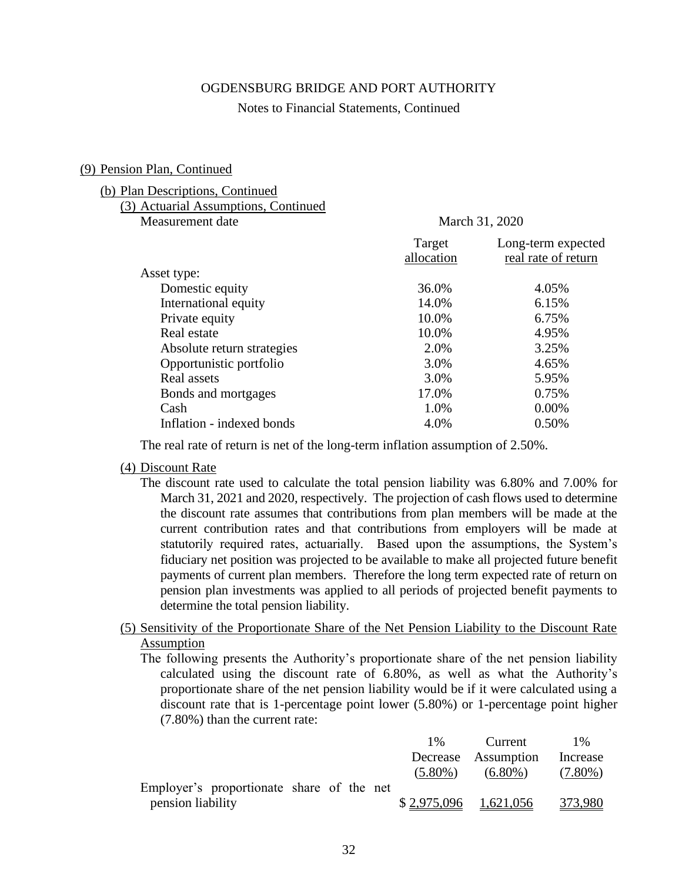#### Notes to Financial Statements, Continued

#### (9) Pension Plan, Continued

#### (b) Plan Descriptions, Continued

|  |                  | (3) Actuarial Assumptions, Continued |
|--|------------------|--------------------------------------|
|  | Measurement date |                                      |

#### March 31, 2020

|                            | Target     | Long-term expected  |
|----------------------------|------------|---------------------|
|                            | allocation | real rate of return |
| Asset type:                |            |                     |
| Domestic equity            | 36.0%      | 4.05%               |
| International equity       | 14.0%      | 6.15%               |
| Private equity             | 10.0%      | 6.75%               |
| Real estate                | 10.0%      | 4.95%               |
| Absolute return strategies | 2.0%       | 3.25%               |
| Opportunistic portfolio    | 3.0%       | 4.65%               |
| Real assets                | 3.0%       | 5.95%               |
| Bonds and mortgages        | 17.0%      | 0.75%               |
| Cash                       | 1.0%       | 0.00%               |
| Inflation - indexed bonds  | 4.0%       | 0.50%               |
|                            |            |                     |

The real rate of return is net of the long-term inflation assumption of 2.50%.

#### (4) Discount Rate

- The discount rate used to calculate the total pension liability was 6.80% and 7.00% for March 31, 2021 and 2020, respectively. The projection of cash flows used to determine the discount rate assumes that contributions from plan members will be made at the current contribution rates and that contributions from employers will be made at statutorily required rates, actuarially. Based upon the assumptions, the System's fiduciary net position was projected to be available to make all projected future benefit payments of current plan members. Therefore the long term expected rate of return on pension plan investments was applied to all periods of projected benefit payments to determine the total pension liability.
- (5) Sensitivity of the Proportionate Share of the Net Pension Liability to the Discount Rate Assumption
	- The following presents the Authority's proportionate share of the net pension liability calculated using the discount rate of 6.80%, as well as what the Authority's proportionate share of the net pension liability would be if it were calculated using a discount rate that is 1-percentage point lower (5.80%) or 1-percentage point higher (7.80%) than the current rate:

|                                           | $1\%$                  | Current             | $1\%$      |
|-------------------------------------------|------------------------|---------------------|------------|
|                                           |                        | Decrease Assumption | Increase   |
|                                           | $(5.80\%)$             | $(6.80\%)$          | $(7.80\%)$ |
| Employer's proportionate share of the net |                        |                     |            |
| pension liability                         | $$2,975,096$ 1,621,056 |                     | 373,980    |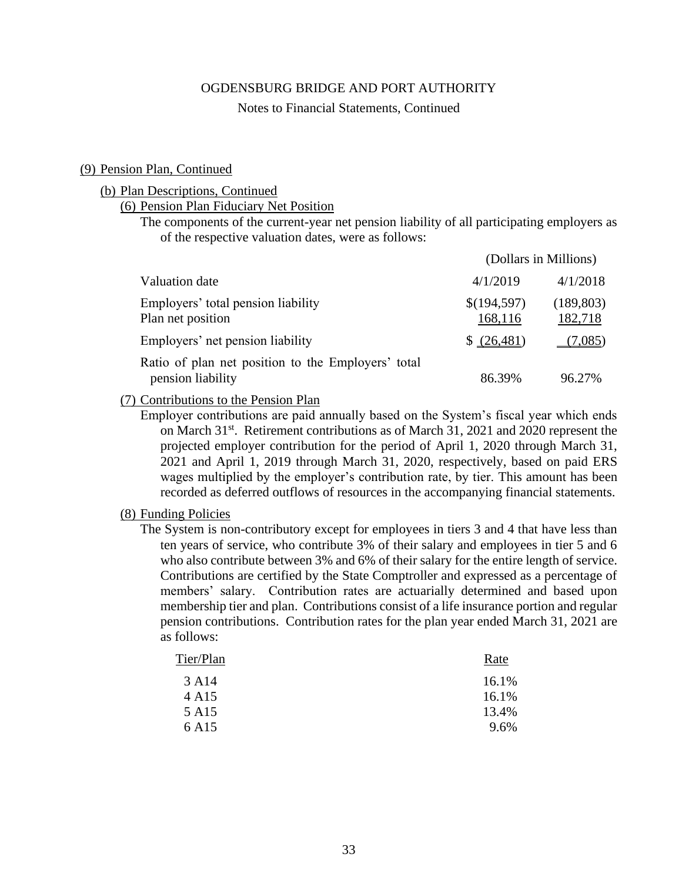#### Notes to Financial Statements, Continued

#### (9) Pension Plan, Continued

### (b) Plan Descriptions, Continued

(6) Pension Plan Fiduciary Net Position

The components of the current-year net pension liability of all participating employers as of the respective valuation dates, were as follows:

|                                                                         |                        | (Dollars in Millions) |
|-------------------------------------------------------------------------|------------------------|-----------------------|
| Valuation date                                                          | 4/1/2019               | 4/1/2018              |
| Employers' total pension liability<br>Plan net position                 | \$(194,597)<br>168,116 | (189, 803)<br>182,718 |
| Employers' net pension liability                                        | \$(26,481)             | <u>(7,085)</u>        |
| Ratio of plan net position to the Employers' total<br>pension liability | 86.39%                 | 96.27%                |

## (7) Contributions to the Pension Plan

Employer contributions are paid annually based on the System's fiscal year which ends on March 31<sup>st</sup>. Retirement contributions as of March 31, 2021 and 2020 represent the projected employer contribution for the period of April 1, 2020 through March 31, 2021 and April 1, 2019 through March 31, 2020, respectively, based on paid ERS wages multiplied by the employer's contribution rate, by tier. This amount has been recorded as deferred outflows of resources in the accompanying financial statements.

#### (8) Funding Policies

The System is non-contributory except for employees in tiers 3 and 4 that have less than ten years of service, who contribute 3% of their salary and employees in tier 5 and 6 who also contribute between 3% and 6% of their salary for the entire length of service. Contributions are certified by the State Comptroller and expressed as a percentage of members' salary. Contribution rates are actuarially determined and based upon membership tier and plan. Contributions consist of a life insurance portion and regular pension contributions. Contribution rates for the plan year ended March 31, 2021 are as follows:

| Tier/Plan         | Rate  |
|-------------------|-------|
| 3 A14             | 16.1% |
| 4 A <sub>15</sub> | 16.1% |
| 5 A15             | 13.4% |
| 6 A <sub>15</sub> | 9.6%  |
|                   |       |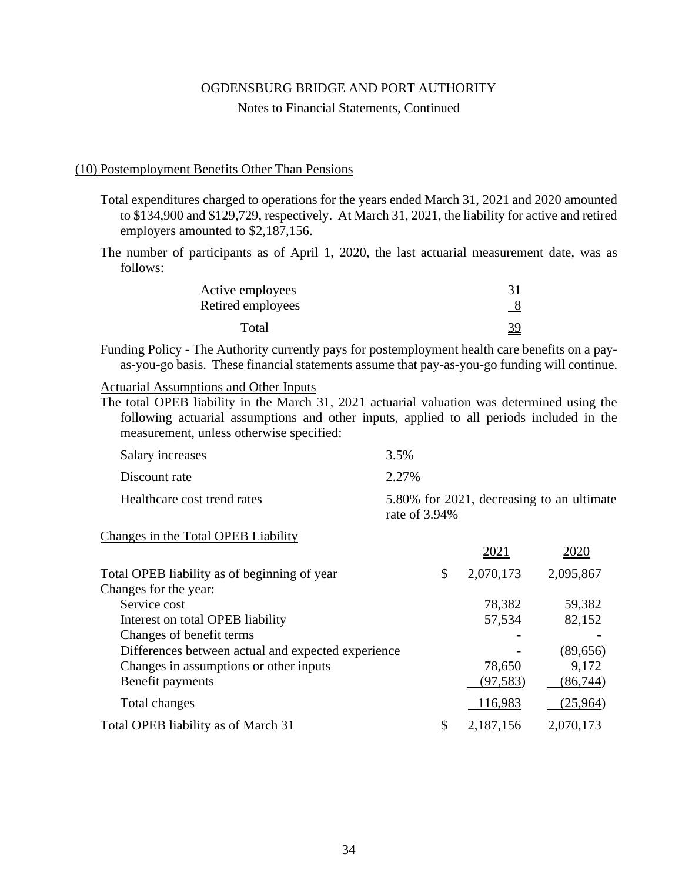#### Notes to Financial Statements, Continued

#### (10) Postemployment Benefits Other Than Pensions

- Total expenditures charged to operations for the years ended March 31, 2021 and 2020 amounted to \$134,900 and \$129,729, respectively. At March 31, 2021, the liability for active and retired employers amounted to \$2,187,156.
- The number of participants as of April 1, 2020, the last actuarial measurement date, was as follows:

| Active employees  | 31        |
|-------------------|-----------|
| Retired employees | <u>_8</u> |
| Total             | <u>39</u> |

Funding Policy - The Authority currently pays for postemployment health care benefits on a payas-you-go basis. These financial statements assume that pay-as-you-go funding will continue.

## Actuarial Assumptions and Other Inputs

The total OPEB liability in the March 31, 2021 actuarial valuation was determined using the following actuarial assumptions and other inputs, applied to all periods included in the measurement, unless otherwise specified:

| Salary increases            | 3.5%                                                          |
|-----------------------------|---------------------------------------------------------------|
| Discount rate               | 2.27%                                                         |
| Healthcare cost trend rates | 5.80% for 2021, decreasing to an ultimate<br>rate of $3.94\%$ |

#### Changes in the Total OPEB Liability

|                                                    | 2021            | 2020      |
|----------------------------------------------------|-----------------|-----------|
| Total OPEB liability as of beginning of year       | \$<br>2,070,173 | 2,095,867 |
| Changes for the year:                              |                 |           |
| Service cost                                       | 78,382          | 59,382    |
| Interest on total OPEB liability                   | 57,534          | 82,152    |
| Changes of benefit terms                           |                 |           |
| Differences between actual and expected experience |                 | (89,656)  |
| Changes in assumptions or other inputs             | 78,650          | 9,172     |
| Benefit payments                                   | (97, 583)       | (86, 744) |
| Total changes                                      | 116,983         | (25,964)  |
| Total OPEB liability as of March 31                | \$<br>2,187,156 | 2,070,173 |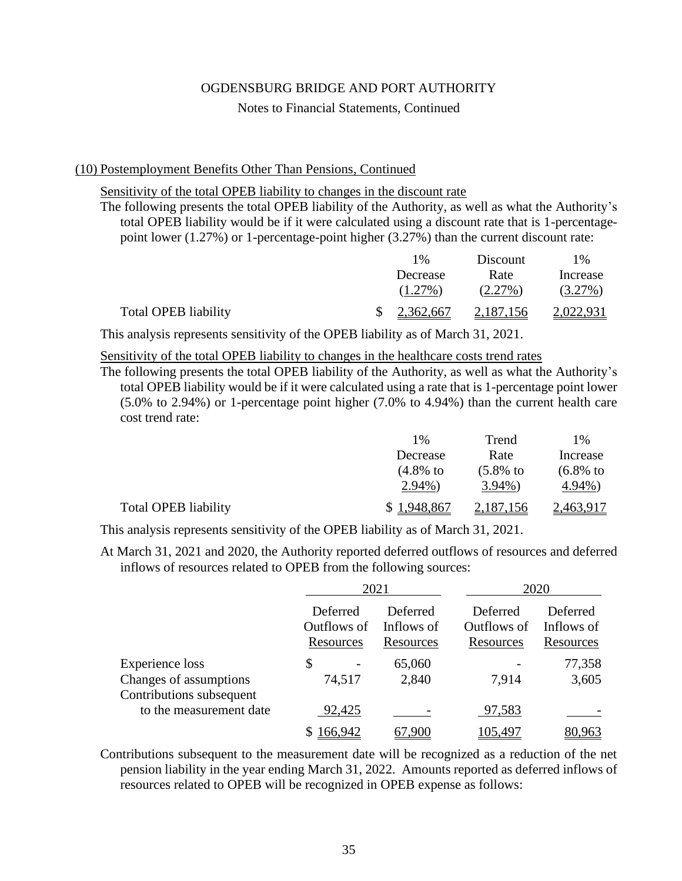#### Notes to Financial Statements, Continued

#### (10) Postemployment Benefits Other Than Pensions, Continued

Sensitivity of the total OPEB liability to changes in the discount rate

The following presents the total OPEB liability of the Authority, as well as what the Authority's total OPEB liability would be if it were calculated using a discount rate that is 1-percentagepoint lower (1.27%) or 1-percentage-point higher (3.27%) than the current discount rate:

|                             | 1%                     | Discount   | 1%         |
|-----------------------------|------------------------|------------|------------|
|                             | Decrease               | Rate       | Increase   |
|                             | $(1.27\%)$             | $(2.27\%)$ | $(3.27\%)$ |
| <b>Total OPEB liability</b> | $\frac{\$}{2,362,667}$ | 2,187,156  | 2,022,931  |

This analysis represents sensitivity of the OPEB liability as of March 31, 2021.

# Sensitivity of the total OPEB liability to changes in the healthcare costs trend rates

The following presents the total OPEB liability of the Authority, as well as what the Authority's total OPEB liability would be if it were calculated using a rate that is 1-percentage point lower (5.0% to 2.94%) or 1-percentage point higher (7.0% to 4.94%) than the current health care cost trend rate:

|                             | 1%          | Trend               | 1%                  |
|-----------------------------|-------------|---------------------|---------------------|
|                             | Decrease    | Rate                | Increase            |
|                             | $(4.8%$ to  | $(5.8% \text{ to }$ | $(6.8% \text{ to }$ |
|                             | $2.94\%$    | $3.94\%$            | $4.94\%$            |
| <b>Total OPEB liability</b> | \$1,948,867 | 2,187,156           | 2,463,917           |

This analysis represents sensitivity of the OPEB liability as of March 31, 2021.

At March 31, 2021 and 2020, the Authority reported deferred outflows of resources and deferred inflows of resources related to OPEB from the following sources:

|                                                                              |                                      | 2021                                | 2020                                 |                                     |  |
|------------------------------------------------------------------------------|--------------------------------------|-------------------------------------|--------------------------------------|-------------------------------------|--|
|                                                                              | Deferred<br>Outflows of<br>Resources | Deferred<br>Inflows of<br>Resources | Deferred<br>Outflows of<br>Resources | Deferred<br>Inflows of<br>Resources |  |
| <b>Experience</b> loss<br>Changes of assumptions<br>Contributions subsequent | \$<br>74,517                         | 65,060<br>2,840                     | 7,914                                | 77,358<br>3,605                     |  |
| to the measurement date                                                      | 92,425                               |                                     | 97,583                               |                                     |  |
|                                                                              | .66.                                 |                                     |                                      |                                     |  |

Contributions subsequent to the measurement date will be recognized as a reduction of the net pension liability in the year ending March 31, 2022. Amounts reported as deferred inflows of resources related to OPEB will be recognized in OPEB expense as follows: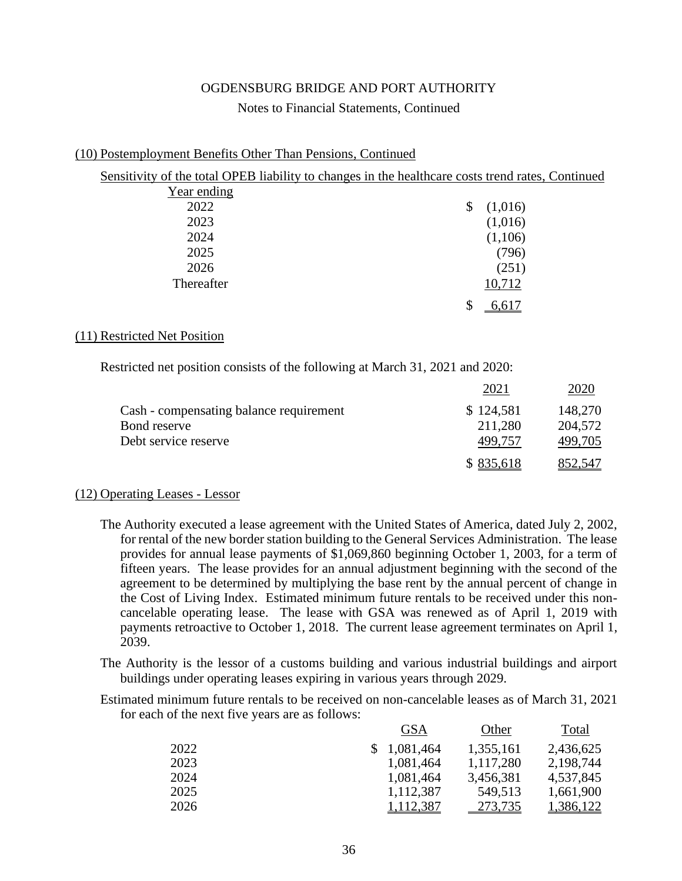### Notes to Financial Statements, Continued

# (10) Postemployment Benefits Other Than Pensions, Continued

Sensitivity of the total OPEB liability to changes in the healthcare costs trend rates, Continued

| Year ending |               |
|-------------|---------------|
| 2022        | (1,016)<br>\$ |
| 2023        | (1,016)       |
| 2024        | (1,106)       |
| 2025        | (796)         |
| 2026        | (251)         |
| Thereafter  | 10,712        |
|             |               |

#### (11) Restricted Net Position

Restricted net position consists of the following at March 31, 2021 and 2020:

|                                         | 2021      | 2020    |
|-----------------------------------------|-----------|---------|
| Cash - compensating balance requirement | \$124,581 | 148,270 |
| Bond reserve                            | 211,280   | 204,572 |
| Debt service reserve                    | 499,757   | 499,705 |
|                                         | \$835,618 | 852,547 |

#### (12) Operating Leases - Lessor

- The Authority executed a lease agreement with the United States of America, dated July 2, 2002, for rental of the new border station building to the General Services Administration. The lease provides for annual lease payments of \$1,069,860 beginning October 1, 2003, for a term of fifteen years. The lease provides for an annual adjustment beginning with the second of the agreement to be determined by multiplying the base rent by the annual percent of change in the Cost of Living Index. Estimated minimum future rentals to be received under this noncancelable operating lease. The lease with GSA was renewed as of April 1, 2019 with payments retroactive to October 1, 2018. The current lease agreement terminates on April 1, 2039.
- The Authority is the lessor of a customs building and various industrial buildings and airport buildings under operating leases expiring in various years through 2029.
- Estimated minimum future rentals to be received on non-cancelable leases as of March 31, 2021 for each of the next five years are as follows:

| 2022<br>1,081,464<br>2,436,625<br>1,355,161 | Total |
|---------------------------------------------|-------|
|                                             |       |
| 2023<br>1,117,280<br>2,198,744<br>1,081,464 |       |
| 2024<br>3,456,381<br>4,537,845<br>1,081,464 |       |
| 2025<br>549,513<br>1,112,387<br>1,661,900   |       |
| 2026<br>273,735<br>1,386,122<br>1,112,387   |       |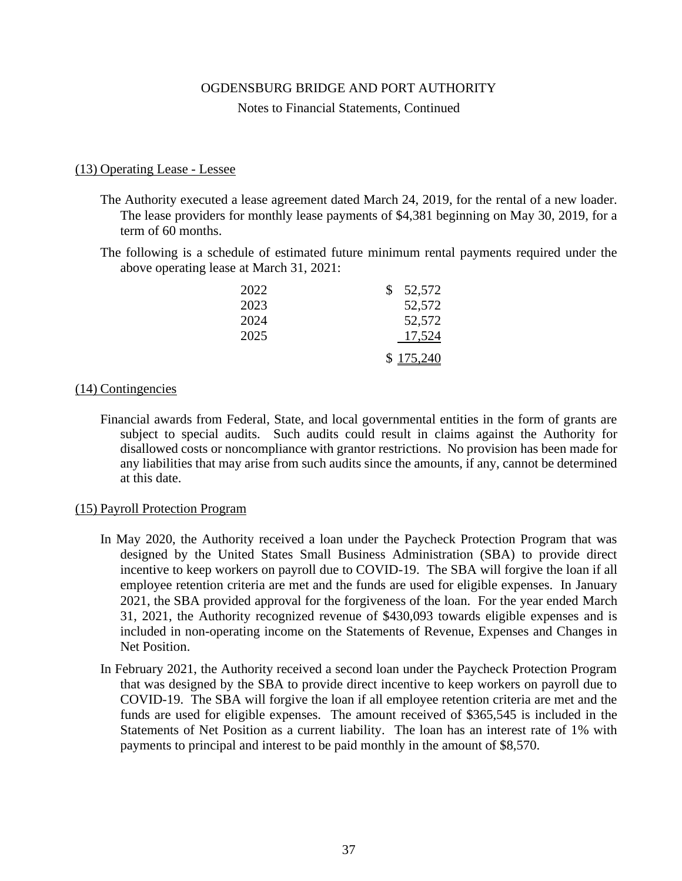Notes to Financial Statements, Continued

# (13) Operating Lease - Lessee

- The Authority executed a lease agreement dated March 24, 2019, for the rental of a new loader. The lease providers for monthly lease payments of \$4,381 beginning on May 30, 2019, for a term of 60 months.
- The following is a schedule of estimated future minimum rental payments required under the above operating lease at March 31, 2021:

| 2022 | S. | 52,572    |
|------|----|-----------|
| 2023 |    | 52,572    |
| 2024 |    | 52,572    |
| 2025 |    | 17,524    |
|      |    | \$175,240 |

# (14) Contingencies

Financial awards from Federal, State, and local governmental entities in the form of grants are subject to special audits. Such audits could result in claims against the Authority for disallowed costs or noncompliance with grantor restrictions. No provision has been made for any liabilities that may arise from such audits since the amounts, if any, cannot be determined at this date.

# (15) Payroll Protection Program

- In May 2020, the Authority received a loan under the Paycheck Protection Program that was designed by the United States Small Business Administration (SBA) to provide direct incentive to keep workers on payroll due to COVID-19. The SBA will forgive the loan if all employee retention criteria are met and the funds are used for eligible expenses. In January 2021, the SBA provided approval for the forgiveness of the loan. For the year ended March 31, 2021, the Authority recognized revenue of \$430,093 towards eligible expenses and is included in non-operating income on the Statements of Revenue, Expenses and Changes in Net Position.
- In February 2021, the Authority received a second loan under the Paycheck Protection Program that was designed by the SBA to provide direct incentive to keep workers on payroll due to COVID-19. The SBA will forgive the loan if all employee retention criteria are met and the funds are used for eligible expenses. The amount received of \$365,545 is included in the Statements of Net Position as a current liability. The loan has an interest rate of 1% with payments to principal and interest to be paid monthly in the amount of \$8,570.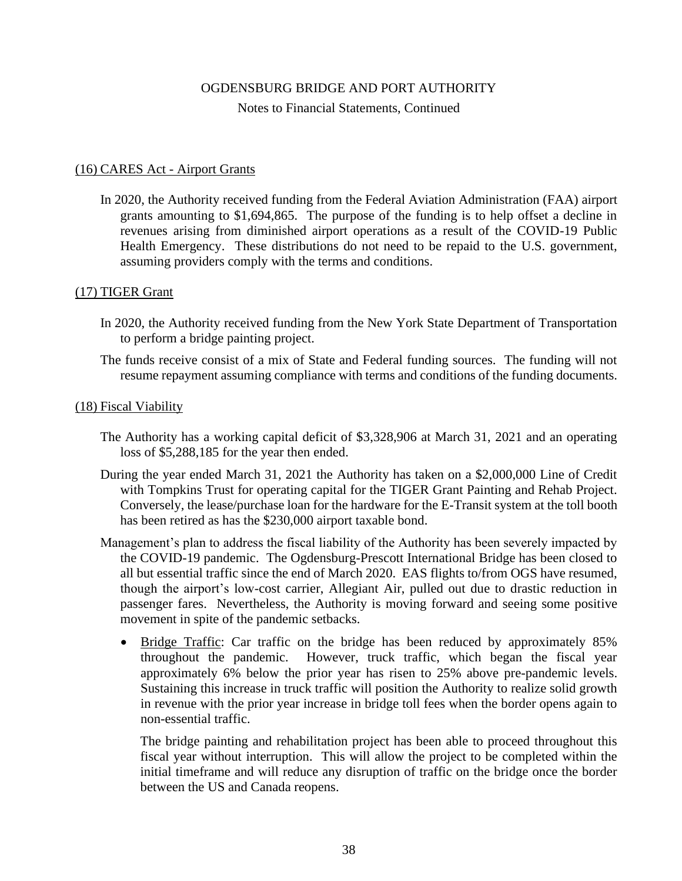Notes to Financial Statements, Continued

# (16) CARES Act - Airport Grants

In 2020, the Authority received funding from the Federal Aviation Administration (FAA) airport grants amounting to \$1,694,865. The purpose of the funding is to help offset a decline in revenues arising from diminished airport operations as a result of the COVID-19 Public Health Emergency. These distributions do not need to be repaid to the U.S. government, assuming providers comply with the terms and conditions.

# (17) TIGER Grant

- In 2020, the Authority received funding from the New York State Department of Transportation to perform a bridge painting project.
- The funds receive consist of a mix of State and Federal funding sources. The funding will not resume repayment assuming compliance with terms and conditions of the funding documents.

# (18) Fiscal Viability

- The Authority has a working capital deficit of \$3,328,906 at March 31, 2021 and an operating loss of \$5,288,185 for the year then ended.
- During the year ended March 31, 2021 the Authority has taken on a \$2,000,000 Line of Credit with Tompkins Trust for operating capital for the TIGER Grant Painting and Rehab Project. Conversely, the lease/purchase loan for the hardware for the E-Transit system at the toll booth has been retired as has the \$230,000 airport taxable bond.
- Management's plan to address the fiscal liability of the Authority has been severely impacted by the COVID-19 pandemic. The Ogdensburg-Prescott International Bridge has been closed to all but essential traffic since the end of March 2020. EAS flights to/from OGS have resumed, though the airport's low-cost carrier, Allegiant Air, pulled out due to drastic reduction in passenger fares. Nevertheless, the Authority is moving forward and seeing some positive movement in spite of the pandemic setbacks.
	- Bridge Traffic: Car traffic on the bridge has been reduced by approximately 85% throughout the pandemic. However, truck traffic, which began the fiscal year approximately 6% below the prior year has risen to 25% above pre-pandemic levels. Sustaining this increase in truck traffic will position the Authority to realize solid growth in revenue with the prior year increase in bridge toll fees when the border opens again to non-essential traffic.

The bridge painting and rehabilitation project has been able to proceed throughout this fiscal year without interruption. This will allow the project to be completed within the initial timeframe and will reduce any disruption of traffic on the bridge once the border between the US and Canada reopens.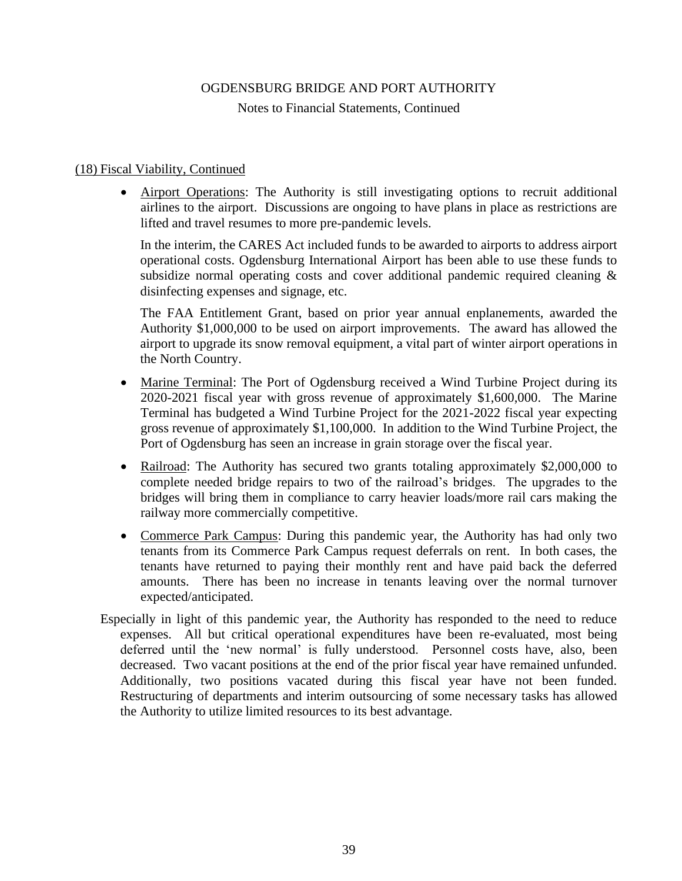Notes to Financial Statements, Continued

# (18) Fiscal Viability, Continued

• Airport Operations: The Authority is still investigating options to recruit additional airlines to the airport. Discussions are ongoing to have plans in place as restrictions are lifted and travel resumes to more pre-pandemic levels.

In the interim, the CARES Act included funds to be awarded to airports to address airport operational costs. Ogdensburg International Airport has been able to use these funds to subsidize normal operating costs and cover additional pandemic required cleaning & disinfecting expenses and signage, etc.

The FAA Entitlement Grant, based on prior year annual enplanements, awarded the Authority \$1,000,000 to be used on airport improvements. The award has allowed the airport to upgrade its snow removal equipment, a vital part of winter airport operations in the North Country.

- Marine Terminal: The Port of Ogdensburg received a Wind Turbine Project during its 2020-2021 fiscal year with gross revenue of approximately \$1,600,000. The Marine Terminal has budgeted a Wind Turbine Project for the 2021-2022 fiscal year expecting gross revenue of approximately \$1,100,000. In addition to the Wind Turbine Project, the Port of Ogdensburg has seen an increase in grain storage over the fiscal year.
- Railroad: The Authority has secured two grants totaling approximately \$2,000,000 to complete needed bridge repairs to two of the railroad's bridges. The upgrades to the bridges will bring them in compliance to carry heavier loads/more rail cars making the railway more commercially competitive.
- Commerce Park Campus: During this pandemic year, the Authority has had only two tenants from its Commerce Park Campus request deferrals on rent. In both cases, the tenants have returned to paying their monthly rent and have paid back the deferred amounts. There has been no increase in tenants leaving over the normal turnover expected/anticipated.
- Especially in light of this pandemic year, the Authority has responded to the need to reduce expenses. All but critical operational expenditures have been re-evaluated, most being deferred until the 'new normal' is fully understood. Personnel costs have, also, been decreased. Two vacant positions at the end of the prior fiscal year have remained unfunded. Additionally, two positions vacated during this fiscal year have not been funded. Restructuring of departments and interim outsourcing of some necessary tasks has allowed the Authority to utilize limited resources to its best advantage.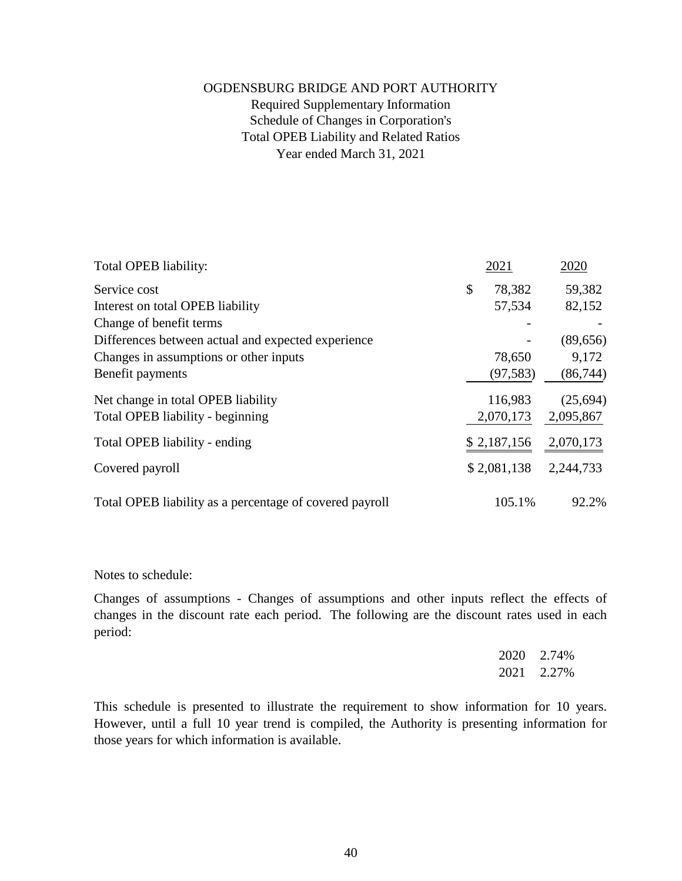# OGDENSBURG BRIDGE AND PORT AUTHORITY Required Supplementary Information Schedule of Changes in Corporation's Total OPEB Liability and Related Ratios Year ended March 31, 2021

| Total OPEB liability:                                   | 2021         | 2020      |
|---------------------------------------------------------|--------------|-----------|
| Service cost                                            | \$<br>78,382 | 59,382    |
| Interest on total OPEB liability                        | 57,534       | 82,152    |
| Change of benefit terms                                 |              |           |
| Differences between actual and expected experience      |              | (89, 656) |
| Changes in assumptions or other inputs                  | 78,650       | 9,172     |
| Benefit payments                                        | (97, 583)    | (86, 744) |
| Net change in total OPEB liability                      | 116,983      | (25, 694) |
| Total OPEB liability - beginning                        | 2,070,173    | 2,095,867 |
| Total OPEB liability - ending                           | \$2,187,156  | 2,070,173 |
| Covered payroll                                         | \$2,081,138  | 2,244,733 |
| Total OPEB liability as a percentage of covered payroll | 105.1%       | 92.2%     |

Notes to schedule:

Changes of assumptions - Changes of assumptions and other inputs reflect the effects of changes in the discount rate each period. The following are the discount rates used in each period:

| 2020 | 2.74% |
|------|-------|
| 2021 | 2.27% |

This schedule is presented to illustrate the requirement to show information for 10 years. However, until a full 10 year trend is compiled, the Authority is presenting information for those years for which information is available.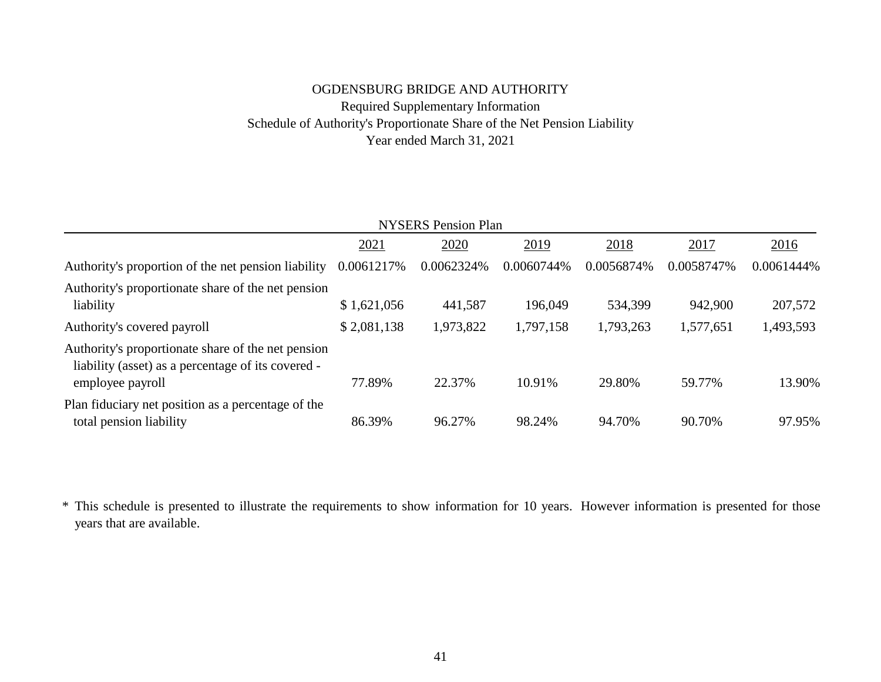# OGDENSBURG BRIDGE AND AUTHORITY Required Supplementary Information Schedule of Authority's Proportionate Share of the Net Pension Liability Year ended March 31, 2021

|                                                                                                                              |             | <b>NYSERS</b> Pension Plan |            |            |            |            |
|------------------------------------------------------------------------------------------------------------------------------|-------------|----------------------------|------------|------------|------------|------------|
|                                                                                                                              | 2021        | 2020                       | 2019       | 2018       | 2017       | 2016       |
| Authority's proportion of the net pension liability                                                                          | 0.0061217%  | 0.0062324%                 | 0.0060744% | 0.0056874% | 0.0058747% | 0.0061444% |
| Authority's proportionate share of the net pension<br>liability                                                              | \$1,621,056 | 441,587                    | 196,049    | 534,399    | 942,900    | 207,572    |
| Authority's covered payroll                                                                                                  | \$2,081,138 | 1,973,822                  | 1,797,158  | 1,793,263  | 1,577,651  | 1,493,593  |
| Authority's proportionate share of the net pension<br>liability (asset) as a percentage of its covered -<br>employee payroll | 77.89%      | 22.37%                     | 10.91%     | 29.80%     | 59.77%     | 13.90%     |
| Plan fiduciary net position as a percentage of the<br>total pension liability                                                | 86.39%      | 96.27%                     | 98.24%     | 94.70%     | 90.70%     | 97.95%     |

\* This schedule is presented to illustrate the requirements to show information for 10 years. However information is presented for those years that are available.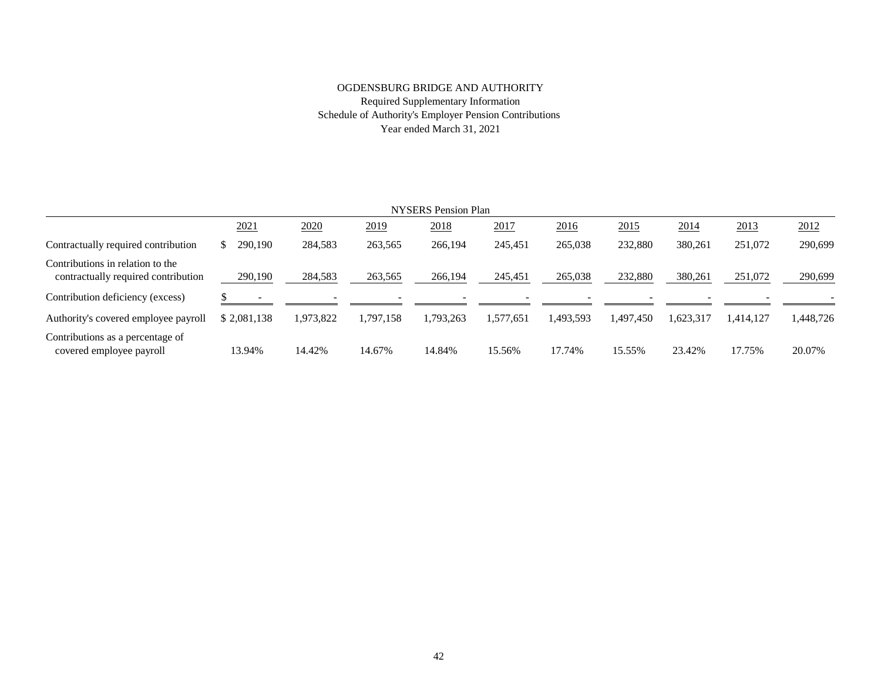### OGDENSBURG BRIDGE AND AUTHORITY Required Supplementary Information Schedule of Authority's Employer Pension Contributions Year ended March 31, 2021

|                                                                         |             |           |           | <b>NYSERS</b> Pension Plan |           |           |           |           |           |           |
|-------------------------------------------------------------------------|-------------|-----------|-----------|----------------------------|-----------|-----------|-----------|-----------|-----------|-----------|
|                                                                         | 2021        | 2020      | 2019      | 2018                       | 2017      | 2016      | 2015      | 2014      | 2013      | 2012      |
| Contractually required contribution                                     | 290,190     | 284,583   | 263,565   | 266,194                    | 245,451   | 265,038   | 232,880   | 380,261   | 251,072   | 290,699   |
| Contributions in relation to the<br>contractually required contribution | 290,190     | 284,583   | 263,565   | 266,194                    | 245,451   | 265,038   | 232,880   | 380,261   | 251,072   | 290,699   |
| Contribution deficiency (excess)                                        |             |           |           |                            |           |           |           |           |           |           |
| Authority's covered employee payroll                                    | \$2,081,138 | 1,973,822 | 1,797,158 | 1,793,263                  | 1,577,651 | 1,493,593 | 1,497,450 | 1,623,317 | 1,414,127 | 1,448,726 |
| Contributions as a percentage of<br>covered employee payroll            | 13.94%      | 14.42%    | 14.67%    | 14.84%                     | 15.56%    | 17.74%    | 15.55%    | 23.42%    | 17.75%    | 20.07%    |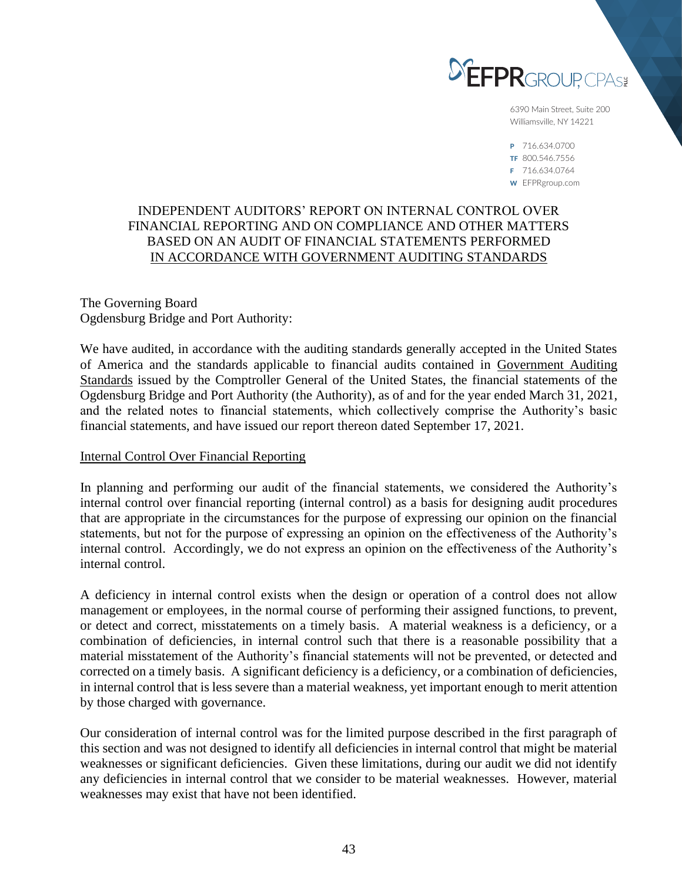

6390 Main Street, Suite 200 Williamsville, NY 14221

P 716.634.0700 TF 800.546.7556 F 716.634.0764 W EFPRgroup.com

# INDEPENDENT AUDITORS' REPORT ON INTERNAL CONTROL OVER FINANCIAL REPORTING AND ON COMPLIANCE AND OTHER MATTERS BASED ON AN AUDIT OF FINANCIAL STATEMENTS PERFORMED IN ACCORDANCE WITH GOVERNMENT AUDITING STANDARDS

The Governing Board Ogdensburg Bridge and Port Authority:

We have audited, in accordance with the auditing standards generally accepted in the United States of America and the standards applicable to financial audits contained in Government Auditing Standards issued by the Comptroller General of the United States, the financial statements of the Ogdensburg Bridge and Port Authority (the Authority), as of and for the year ended March 31, 2021, and the related notes to financial statements, which collectively comprise the Authority's basic financial statements, and have issued our report thereon dated September 17, 2021.

# Internal Control Over Financial Reporting

In planning and performing our audit of the financial statements, we considered the Authority's internal control over financial reporting (internal control) as a basis for designing audit procedures that are appropriate in the circumstances for the purpose of expressing our opinion on the financial statements, but not for the purpose of expressing an opinion on the effectiveness of the Authority's internal control. Accordingly, we do not express an opinion on the effectiveness of the Authority's internal control.

A deficiency in internal control exists when the design or operation of a control does not allow management or employees, in the normal course of performing their assigned functions, to prevent, or detect and correct, misstatements on a timely basis. A material weakness is a deficiency, or a combination of deficiencies, in internal control such that there is a reasonable possibility that a material misstatement of the Authority's financial statements will not be prevented, or detected and corrected on a timely basis. A significant deficiency is a deficiency, or a combination of deficiencies, in internal control that is less severe than a material weakness, yet important enough to merit attention by those charged with governance.

Our consideration of internal control was for the limited purpose described in the first paragraph of this section and was not designed to identify all deficiencies in internal control that might be material weaknesses or significant deficiencies. Given these limitations, during our audit we did not identify any deficiencies in internal control that we consider to be material weaknesses. However, material weaknesses may exist that have not been identified.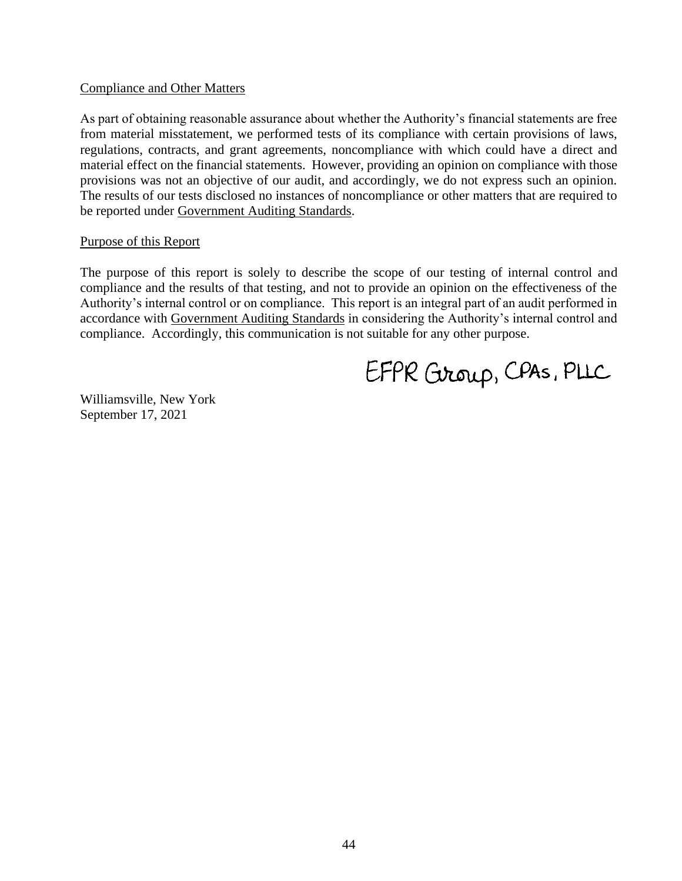# Compliance and Other Matters

As part of obtaining reasonable assurance about whether the Authority's financial statements are free from material misstatement, we performed tests of its compliance with certain provisions of laws, regulations, contracts, and grant agreements, noncompliance with which could have a direct and material effect on the financial statements. However, providing an opinion on compliance with those provisions was not an objective of our audit, and accordingly, we do not express such an opinion. The results of our tests disclosed no instances of noncompliance or other matters that are required to be reported under Government Auditing Standards.

# Purpose of this Report

The purpose of this report is solely to describe the scope of our testing of internal control and compliance and the results of that testing, and not to provide an opinion on the effectiveness of the Authority's internal control or on compliance. This report is an integral part of an audit performed in accordance with Government Auditing Standards in considering the Authority's internal control and compliance. Accordingly, this communication is not suitable for any other purpose.

EFPR Group, CPAS, PLLC

Williamsville, New York September 17, 2021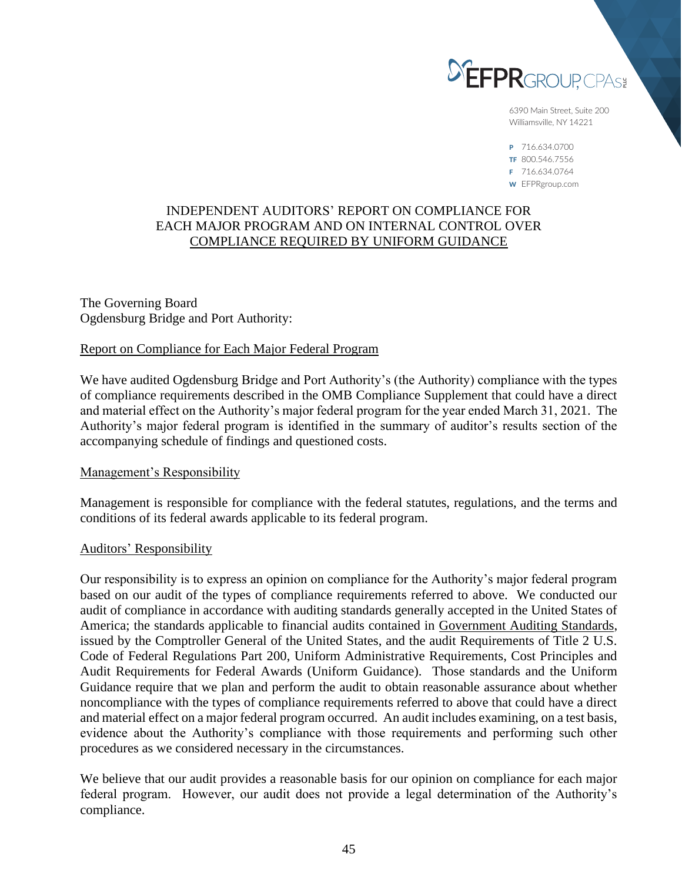

6390 Main Street, Suite 200 Williamsville, NY 14221

P 716.634.0700 TF 800.546.7556 F 716.634.0764 W EFPRgroup.com

# INDEPENDENT AUDITORS' REPORT ON COMPLIANCE FOR EACH MAJOR PROGRAM AND ON INTERNAL CONTROL OVER COMPLIANCE REQUIRED BY UNIFORM GUIDANCE

The Governing Board Ogdensburg Bridge and Port Authority:

# Report on Compliance for Each Major Federal Program

We have audited Ogdensburg Bridge and Port Authority's (the Authority) compliance with the types of compliance requirements described in the OMB Compliance Supplement that could have a direct and material effect on the Authority's major federal program for the year ended March 31, 2021. The Authority's major federal program is identified in the summary of auditor's results section of the accompanying schedule of findings and questioned costs.

# Management's Responsibility

Management is responsible for compliance with the federal statutes, regulations, and the terms and conditions of its federal awards applicable to its federal program.

# Auditors' Responsibility

Our responsibility is to express an opinion on compliance for the Authority's major federal program based on our audit of the types of compliance requirements referred to above. We conducted our audit of compliance in accordance with auditing standards generally accepted in the United States of America; the standards applicable to financial audits contained in Government Auditing Standards, issued by the Comptroller General of the United States, and the audit Requirements of Title 2 U.S. Code of Federal Regulations Part 200, Uniform Administrative Requirements, Cost Principles and Audit Requirements for Federal Awards (Uniform Guidance). Those standards and the Uniform Guidance require that we plan and perform the audit to obtain reasonable assurance about whether noncompliance with the types of compliance requirements referred to above that could have a direct and material effect on a major federal program occurred. An audit includes examining, on a test basis, evidence about the Authority's compliance with those requirements and performing such other procedures as we considered necessary in the circumstances.

We believe that our audit provides a reasonable basis for our opinion on compliance for each major federal program. However, our audit does not provide a legal determination of the Authority's compliance.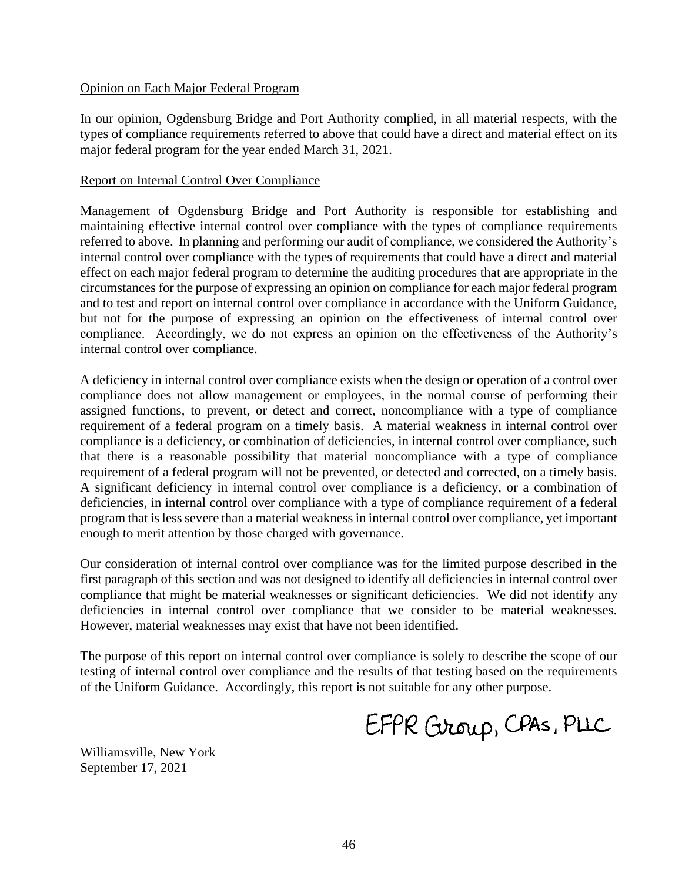# Opinion on Each Major Federal Program

In our opinion, Ogdensburg Bridge and Port Authority complied, in all material respects, with the types of compliance requirements referred to above that could have a direct and material effect on its major federal program for the year ended March 31, 2021.

# Report on Internal Control Over Compliance

Management of Ogdensburg Bridge and Port Authority is responsible for establishing and maintaining effective internal control over compliance with the types of compliance requirements referred to above. In planning and performing our audit of compliance, we considered the Authority's internal control over compliance with the types of requirements that could have a direct and material effect on each major federal program to determine the auditing procedures that are appropriate in the circumstances for the purpose of expressing an opinion on compliance for each major federal program and to test and report on internal control over compliance in accordance with the Uniform Guidance, but not for the purpose of expressing an opinion on the effectiveness of internal control over compliance. Accordingly, we do not express an opinion on the effectiveness of the Authority's internal control over compliance.

A deficiency in internal control over compliance exists when the design or operation of a control over compliance does not allow management or employees, in the normal course of performing their assigned functions, to prevent, or detect and correct, noncompliance with a type of compliance requirement of a federal program on a timely basis. A material weakness in internal control over compliance is a deficiency, or combination of deficiencies, in internal control over compliance, such that there is a reasonable possibility that material noncompliance with a type of compliance requirement of a federal program will not be prevented, or detected and corrected, on a timely basis. A significant deficiency in internal control over compliance is a deficiency, or a combination of deficiencies, in internal control over compliance with a type of compliance requirement of a federal program that is less severe than a material weakness in internal control over compliance, yet important enough to merit attention by those charged with governance.

Our consideration of internal control over compliance was for the limited purpose described in the first paragraph of this section and was not designed to identify all deficiencies in internal control over compliance that might be material weaknesses or significant deficiencies. We did not identify any deficiencies in internal control over compliance that we consider to be material weaknesses. However, material weaknesses may exist that have not been identified.

The purpose of this report on internal control over compliance is solely to describe the scope of our testing of internal control over compliance and the results of that testing based on the requirements of the Uniform Guidance. Accordingly, this report is not suitable for any other purpose.

EFPR Group, CPAS, PLLC

Williamsville, New York September 17, 2021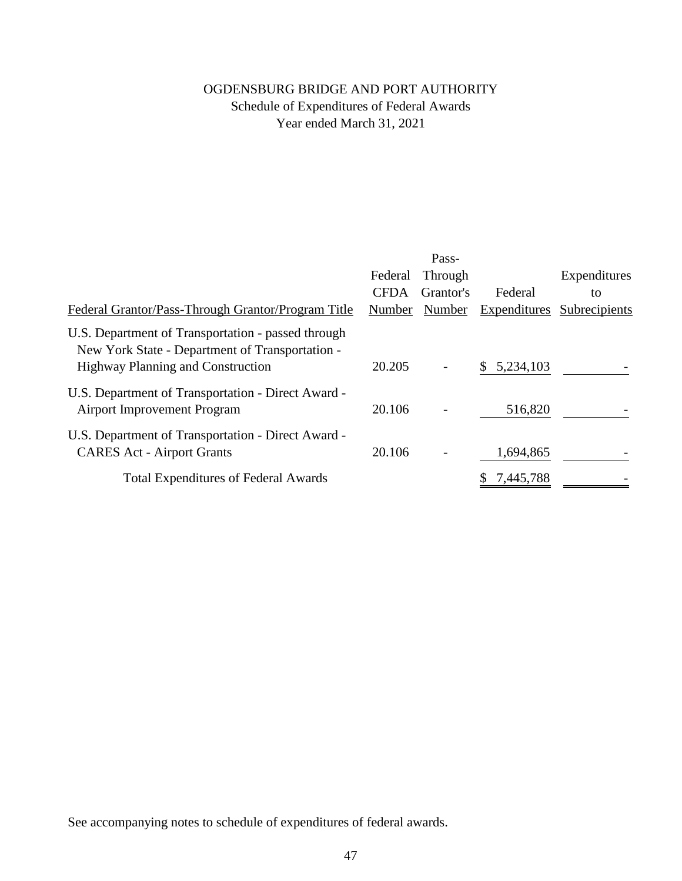# OGDENSBURG BRIDGE AND PORT AUTHORITY Schedule of Expenditures of Federal Awards Year ended March 31, 2021

|                                                                                                                                                   |             | Pass-     |           |                            |
|---------------------------------------------------------------------------------------------------------------------------------------------------|-------------|-----------|-----------|----------------------------|
|                                                                                                                                                   | Federal     | Through   |           | Expenditures               |
|                                                                                                                                                   | <b>CFDA</b> | Grantor's | Federal   | to                         |
| Federal Grantor/Pass-Through Grantor/Program Title                                                                                                | Number      | Number    |           | Expenditures Subrecipients |
| U.S. Department of Transportation - passed through<br>New York State - Department of Transportation -<br><b>Highway Planning and Construction</b> | 20.205      |           | 5,234,103 |                            |
| U.S. Department of Transportation - Direct Award -<br><b>Airport Improvement Program</b>                                                          | 20.106      |           | 516,820   |                            |
| U.S. Department of Transportation - Direct Award -<br><b>CARES Act - Airport Grants</b>                                                           | 20.106      |           | 1,694,865 |                            |
| <b>Total Expenditures of Federal Awards</b>                                                                                                       |             |           | 7,445,788 |                            |

See accompanying notes to schedule of expenditures of federal awards.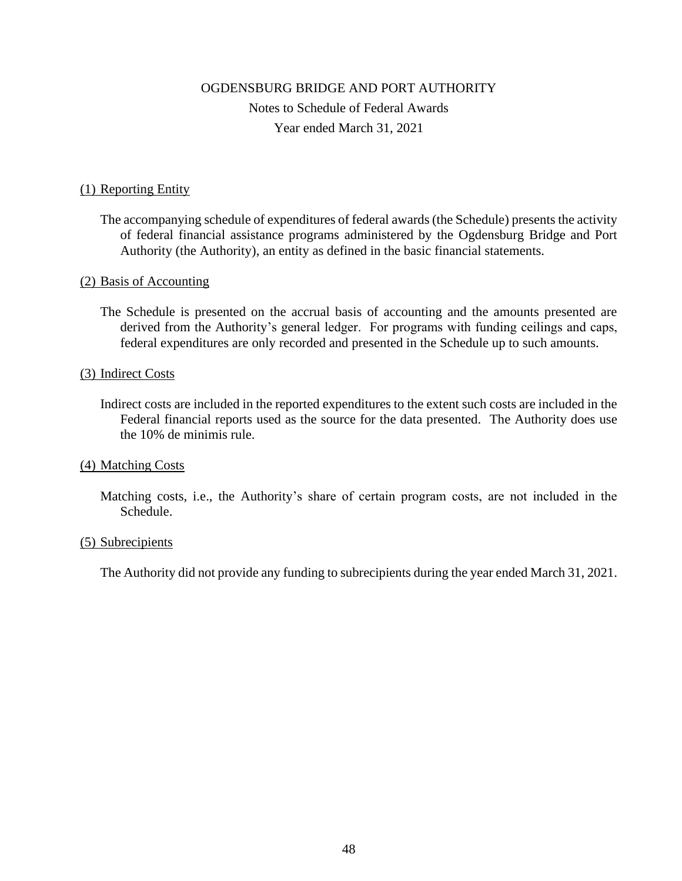# OGDENSBURG BRIDGE AND PORT AUTHORITY Notes to Schedule of Federal Awards Year ended March 31, 2021

# (1) Reporting Entity

The accompanying schedule of expenditures of federal awards (the Schedule) presents the activity of federal financial assistance programs administered by the Ogdensburg Bridge and Port Authority (the Authority), an entity as defined in the basic financial statements.

# (2) Basis of Accounting

The Schedule is presented on the accrual basis of accounting and the amounts presented are derived from the Authority's general ledger. For programs with funding ceilings and caps, federal expenditures are only recorded and presented in the Schedule up to such amounts.

# (3) Indirect Costs

Indirect costs are included in the reported expenditures to the extent such costs are included in the Federal financial reports used as the source for the data presented. The Authority does use the 10% de minimis rule.

# (4) Matching Costs

Matching costs, i.e., the Authority's share of certain program costs, are not included in the Schedule.

# (5) Subrecipients

The Authority did not provide any funding to subrecipients during the year ended March 31, 2021.